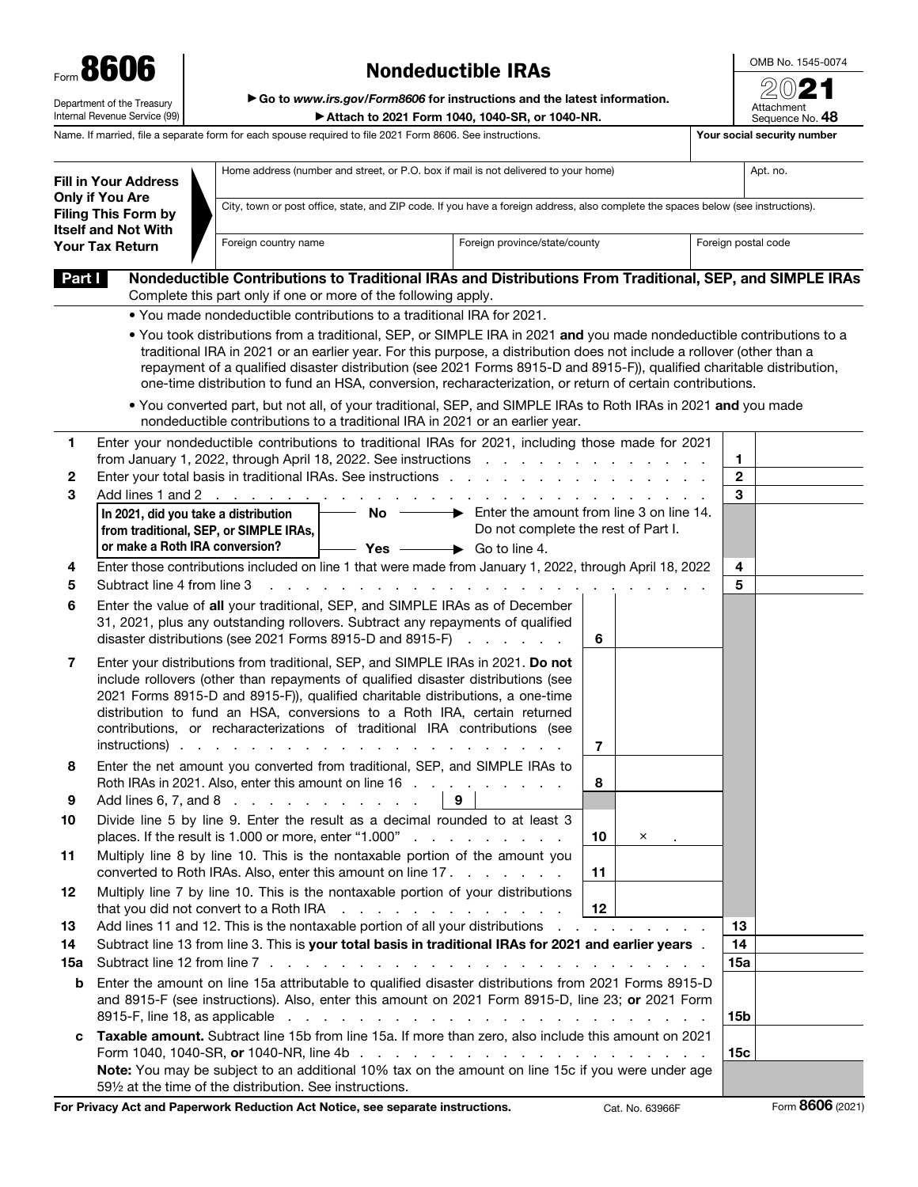| Form 8606                                                   |
|-------------------------------------------------------------|
| Department of the Treasury<br>Internal Revenue Service (99) |

## Nondeductible IRAs

OMB No. 1545-0074  $\overline{\circ}$ 

| Department of the Treasury<br>Internal Revenue Service (99) | ► Go to www.irs.gov/Form8606 for instructions and the latest information.<br>Attach to 2021 Form 1040, 1040-SR, or 1040-NR. | 2021<br>Attachment<br>Seauence No. 48 |
|-------------------------------------------------------------|-----------------------------------------------------------------------------------------------------------------------------|---------------------------------------|
|                                                             | Name. If married, file a separate form for each spouse required to file 2021 Form 8606. See instructions.                   | Your social security number           |

|        | <b>Fill in Your Address</b>                                                        |                                       | Home address (number and street, or P.O. box if mail is not delivered to your home)                                                                                                                                                                                                                                                                                                                                                                                                                                                                                                                                                                                                      |                                                        |                                     |              | Apt. no. |
|--------|------------------------------------------------------------------------------------|---------------------------------------|------------------------------------------------------------------------------------------------------------------------------------------------------------------------------------------------------------------------------------------------------------------------------------------------------------------------------------------------------------------------------------------------------------------------------------------------------------------------------------------------------------------------------------------------------------------------------------------------------------------------------------------------------------------------------------------|--------------------------------------------------------|-------------------------------------|--------------|----------|
|        | <b>Only if You Are</b><br><b>Filing This Form by</b><br><b>Itself and Not With</b> |                                       | City, town or post office, state, and ZIP code. If you have a foreign address, also complete the spaces below (see instructions).                                                                                                                                                                                                                                                                                                                                                                                                                                                                                                                                                        |                                                        |                                     |              |          |
|        | Foreign country name<br>Foreign province/state/county<br><b>Your Tax Return</b>    |                                       |                                                                                                                                                                                                                                                                                                                                                                                                                                                                                                                                                                                                                                                                                          |                                                        | Foreign postal code                 |              |          |
| Part I |                                                                                    |                                       | Nondeductible Contributions to Traditional IRAs and Distributions From Traditional, SEP, and SIMPLE IRAs<br>Complete this part only if one or more of the following apply.                                                                                                                                                                                                                                                                                                                                                                                                                                                                                                               |                                                        |                                     |              |          |
|        |                                                                                    |                                       | . You made nondeductible contributions to a traditional IRA for 2021.                                                                                                                                                                                                                                                                                                                                                                                                                                                                                                                                                                                                                    |                                                        |                                     |              |          |
|        |                                                                                    |                                       | . You took distributions from a traditional, SEP, or SIMPLE IRA in 2021 and you made nondeductible contributions to a<br>traditional IRA in 2021 or an earlier year. For this purpose, a distribution does not include a rollover (other than a<br>repayment of a qualified disaster distribution (see 2021 Forms 8915-D and 8915-F)), qualified charitable distribution,<br>one-time distribution to fund an HSA, conversion, recharacterization, or return of certain contributions.<br>. You converted part, but not all, of your traditional, SEP, and SIMPLE IRAs to Roth IRAs in 2021 and you made<br>nondeductible contributions to a traditional IRA in 2021 or an earlier year. |                                                        |                                     |              |          |
| 1      |                                                                                    |                                       | Enter your nondeductible contributions to traditional IRAs for 2021, including those made for 2021                                                                                                                                                                                                                                                                                                                                                                                                                                                                                                                                                                                       |                                                        |                                     |              |          |
|        |                                                                                    |                                       |                                                                                                                                                                                                                                                                                                                                                                                                                                                                                                                                                                                                                                                                                          |                                                        |                                     | 1            |          |
| 2      |                                                                                    |                                       |                                                                                                                                                                                                                                                                                                                                                                                                                                                                                                                                                                                                                                                                                          |                                                        |                                     | $\mathbf{2}$ |          |
| 3      | Add lines 1 and 2                                                                  |                                       |                                                                                                                                                                                                                                                                                                                                                                                                                                                                                                                                                                                                                                                                                          |                                                        |                                     | 3            |          |
|        | In 2021, did you take a distribution                                               |                                       | $No -$                                                                                                                                                                                                                                                                                                                                                                                                                                                                                                                                                                                                                                                                                   | $\rightarrow$ Enter the amount from line 3 on line 14. |                                     |              |          |
|        | from traditional, SEP, or SIMPLE IRAs,                                             |                                       |                                                                                                                                                                                                                                                                                                                                                                                                                                                                                                                                                                                                                                                                                          | Do not complete the rest of Part I.                    |                                     |              |          |
|        | or make a Roth IRA conversion?                                                     |                                       | $-$ Yes $\longrightarrow$ Go to line 4.                                                                                                                                                                                                                                                                                                                                                                                                                                                                                                                                                                                                                                                  |                                                        |                                     |              |          |
| 4      |                                                                                    |                                       | Enter those contributions included on line 1 that were made from January 1, 2022, through April 18, 2022                                                                                                                                                                                                                                                                                                                                                                                                                                                                                                                                                                                 |                                                        |                                     | 4            |          |
| 5      | Subtract line 4 from line 3                                                        |                                       |                                                                                                                                                                                                                                                                                                                                                                                                                                                                                                                                                                                                                                                                                          |                                                        |                                     | 5            |          |
| 6      |                                                                                    |                                       | Enter the value of all your traditional, SEP, and SIMPLE IRAs as of December<br>31, 2021, plus any outstanding rollovers. Subtract any repayments of qualified<br>disaster distributions (see 2021 Forms 8915-D and 8915-F)                                                                                                                                                                                                                                                                                                                                                                                                                                                              | and the company of the company                         | 6                                   |              |          |
| 7      | instructions).                                                                     | and the company of the company of the | Enter your distributions from traditional, SEP, and SIMPLE IRAs in 2021. Do not<br>include rollovers (other than repayments of qualified disaster distributions (see<br>2021 Forms 8915-D and 8915-F)), qualified charitable distributions, a one-time<br>distribution to fund an HSA, conversions to a Roth IRA, certain returned<br>contributions, or recharacterizations of traditional IRA contributions (see                                                                                                                                                                                                                                                                        |                                                        | $\overline{7}$                      |              |          |
| 8      |                                                                                    |                                       | Enter the net amount you converted from traditional, SEP, and SIMPLE IRAs to<br>Roth IRAs in 2021. Also, enter this amount on line 16                                                                                                                                                                                                                                                                                                                                                                                                                                                                                                                                                    |                                                        | 8                                   |              |          |
| 9      | Add lines 6, 7, and 8 $\ldots$ $\ldots$ $\ldots$ $\ldots$                          |                                       |                                                                                                                                                                                                                                                                                                                                                                                                                                                                                                                                                                                                                                                                                          | 9                                                      |                                     |              |          |
| 10     |                                                                                    |                                       | Divide line 5 by line 9. Enter the result as a decimal rounded to at least 3<br>places. If the result is 1.000 or more, enter "1.000"                                                                                                                                                                                                                                                                                                                                                                                                                                                                                                                                                    |                                                        | 10<br>$\times$                      |              |          |
| 11     |                                                                                    |                                       | Multiply line 8 by line 10. This is the nontaxable portion of the amount you<br>converted to Roth IRAs. Also, enter this amount on line 17.                                                                                                                                                                                                                                                                                                                                                                                                                                                                                                                                              |                                                        | 11                                  |              |          |
| 12     | that you did not convert to a Roth IRA                                             |                                       | Multiply line 7 by line 10. This is the nontaxable portion of your distributions<br>and the company of the company of the                                                                                                                                                                                                                                                                                                                                                                                                                                                                                                                                                                |                                                        | 12                                  |              |          |
| 13     |                                                                                    |                                       | Add lines 11 and 12. This is the nontaxable portion of all your distributions                                                                                                                                                                                                                                                                                                                                                                                                                                                                                                                                                                                                            |                                                        | the contract of the contract of the | 13           |          |
| 14     |                                                                                    |                                       | Subtract line 13 from line 3. This is your total basis in traditional IRAs for 2021 and earlier years.                                                                                                                                                                                                                                                                                                                                                                                                                                                                                                                                                                                   |                                                        |                                     | 14           |          |
| 15a    |                                                                                    |                                       |                                                                                                                                                                                                                                                                                                                                                                                                                                                                                                                                                                                                                                                                                          |                                                        |                                     | 15a          |          |
| b      |                                                                                    |                                       | Enter the amount on line 15a attributable to qualified disaster distributions from 2021 Forms 8915-D<br>and 8915-F (see instructions). Also, enter this amount on 2021 Form 8915-D, line 23; or 2021 Form<br>8915-F, line 18, as applicable entering to the contract of the contract of the contract of the contract of the contract of the contract of the contract of the contract of the contract of the contract of the contract of the                                                                                                                                                                                                                                              |                                                        |                                     | <b>15b</b>   |          |
| c      |                                                                                    |                                       | Taxable amount. Subtract line 15b from line 15a. If more than zero, also include this amount on 2021                                                                                                                                                                                                                                                                                                                                                                                                                                                                                                                                                                                     |                                                        |                                     | 15c          |          |
|        | 591/2 at the time of the distribution. See instructions.                           |                                       | Note: You may be subject to an additional 10% tax on the amount on line 15c if you were under age                                                                                                                                                                                                                                                                                                                                                                                                                                                                                                                                                                                        |                                                        |                                     |              |          |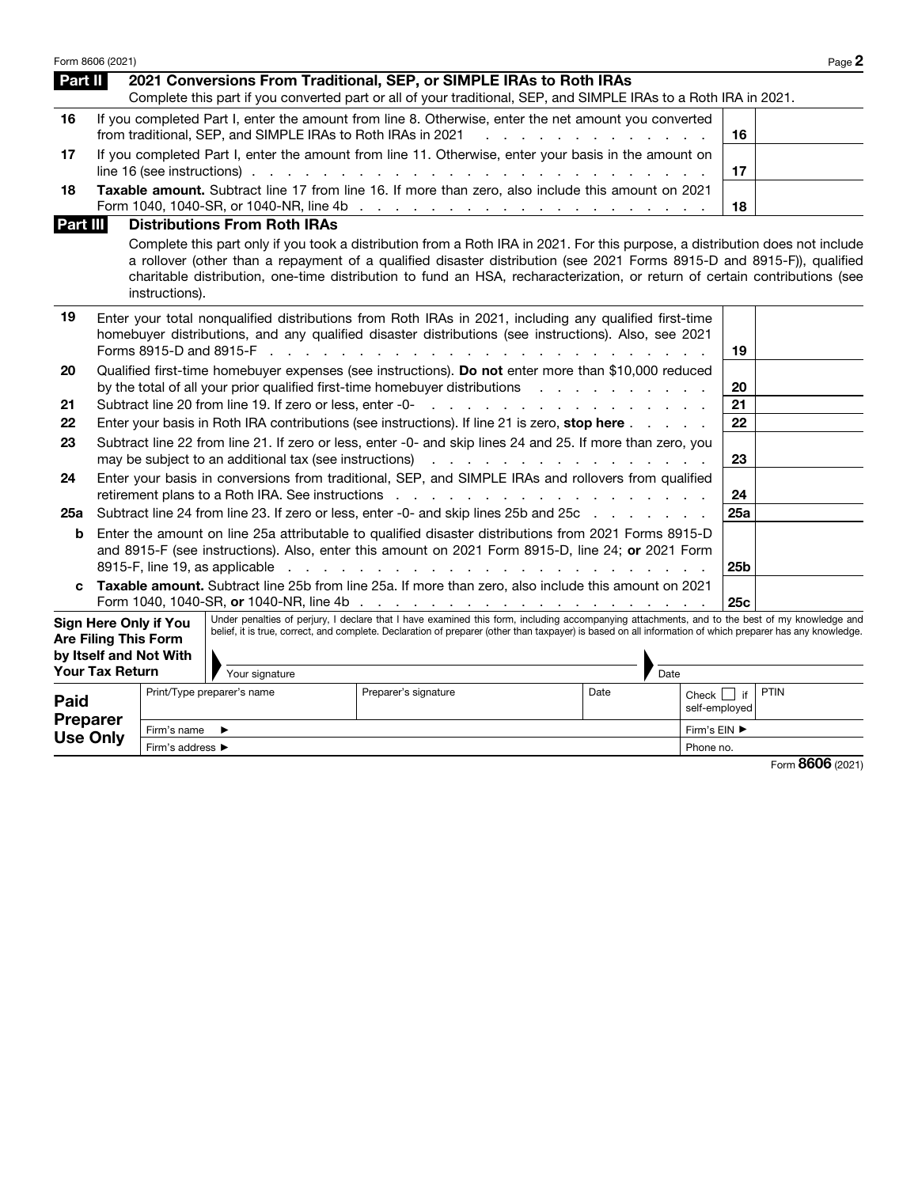|                                     | Form 8606 (2021)            |                                                        |                                                             |                                                                                                                                                                                                                                                                                                                                                                                                                                            |                                         |                                   |                 | Page 2 |
|-------------------------------------|-----------------------------|--------------------------------------------------------|-------------------------------------------------------------|--------------------------------------------------------------------------------------------------------------------------------------------------------------------------------------------------------------------------------------------------------------------------------------------------------------------------------------------------------------------------------------------------------------------------------------------|-----------------------------------------|-----------------------------------|-----------------|--------|
| Part II                             |                             |                                                        |                                                             | 2021 Conversions From Traditional, SEP, or SIMPLE IRAs to Roth IRAs                                                                                                                                                                                                                                                                                                                                                                        |                                         |                                   |                 |        |
|                                     |                             |                                                        |                                                             | Complete this part if you converted part or all of your traditional, SEP, and SIMPLE IRAs to a Roth IRA in 2021.                                                                                                                                                                                                                                                                                                                           |                                         |                                   |                 |        |
| 16                                  |                             |                                                        | from traditional, SEP, and SIMPLE IRAs to Roth IRAs in 2021 | If you completed Part I, enter the amount from line 8. Otherwise, enter the net amount you converted                                                                                                                                                                                                                                                                                                                                       | and the contract of the contract of the |                                   | 16              |        |
| 17                                  |                             |                                                        |                                                             | If you completed Part I, enter the amount from line 11. Otherwise, enter your basis in the amount on<br>line 16 (see instructions). $\cdots$ $\cdots$ $\cdots$ $\cdots$ $\cdots$ $\cdots$ $\cdots$ $\cdots$ $\cdots$ $\cdots$ $\cdots$                                                                                                                                                                                                     |                                         |                                   | 17              |        |
| 18<br>Part III                      |                             |                                                        | <b>Distributions From Roth IRAs</b>                         | Taxable amount. Subtract line 17 from line 16. If more than zero, also include this amount on 2021                                                                                                                                                                                                                                                                                                                                         |                                         |                                   | 18              |        |
|                                     |                             | instructions).                                         |                                                             | Complete this part only if you took a distribution from a Roth IRA in 2021. For this purpose, a distribution does not include<br>a rollover (other than a repayment of a qualified disaster distribution (see 2021 Forms 8915-D and 8915-F)), qualified<br>charitable distribution, one-time distribution to fund an HSA, recharacterization, or return of certain contributions (see                                                      |                                         |                                   |                 |        |
| 19                                  |                             |                                                        |                                                             | Enter your total nonqualified distributions from Roth IRAs in 2021, including any qualified first-time<br>homebuyer distributions, and any qualified disaster distributions (see instructions). Also, see 2021                                                                                                                                                                                                                             |                                         |                                   | 19              |        |
| 20                                  |                             |                                                        |                                                             | Qualified first-time homebuyer expenses (see instructions). Do not enter more than \$10,000 reduced<br>by the total of all your prior qualified first-time homebuyer distributions                                                                                                                                                                                                                                                         |                                         |                                   | 20              |        |
| 21                                  |                             |                                                        |                                                             |                                                                                                                                                                                                                                                                                                                                                                                                                                            |                                         |                                   | 21              |        |
| 22                                  |                             |                                                        |                                                             | Enter your basis in Roth IRA contributions (see instructions). If line 21 is zero, stop here                                                                                                                                                                                                                                                                                                                                               |                                         |                                   | 22              |        |
| 23                                  |                             |                                                        |                                                             | Subtract line 22 from line 21. If zero or less, enter -0- and skip lines 24 and 25. If more than zero, you                                                                                                                                                                                                                                                                                                                                 |                                         |                                   | 23              |        |
| 24                                  |                             |                                                        |                                                             | Enter your basis in conversions from traditional, SEP, and SIMPLE IRAs and rollovers from qualified<br>retirement plans to a Roth IRA. See instructions results and results and results are a set of the set of the s                                                                                                                                                                                                                      |                                         |                                   | 24              |        |
| 25a                                 |                             |                                                        |                                                             | Subtract line 24 from line 23. If zero or less, enter -0- and skip lines 25b and 25c                                                                                                                                                                                                                                                                                                                                                       |                                         |                                   | 25a             |        |
| b                                   |                             |                                                        |                                                             | Enter the amount on line 25a attributable to qualified disaster distributions from 2021 Forms 8915-D<br>and 8915-F (see instructions). Also, enter this amount on 2021 Form 8915-D, line 24; or 2021 Form<br>8915-F, line 19, as applicable (e.g. in terms) in the case of the contract of the contract of the contract of the contract of the contract of the contract of the contract of the contract of the contract of the contract of |                                         |                                   | 25 <sub>b</sub> |        |
| C                                   |                             |                                                        |                                                             | Taxable amount. Subtract line 25b from line 25a. If more than zero, also include this amount on 2021                                                                                                                                                                                                                                                                                                                                       |                                         |                                   | 25c             |        |
|                                     | <b>Are Filing This Form</b> | <b>Sign Here Only if You</b><br>by Itself and Not With |                                                             | Under penalties of perjury, I declare that I have examined this form, including accompanying attachments, and to the best of my knowledge and<br>belief, it is true, correct, and complete. Declaration of preparer (other than taxpayer) is based on all information of which preparer has any knowledge.                                                                                                                                 |                                         |                                   |                 |        |
|                                     | <b>Your Tax Return</b>      |                                                        | Your signature                                              |                                                                                                                                                                                                                                                                                                                                                                                                                                            | Date                                    |                                   |                 |        |
| <b>Paid</b>                         |                             |                                                        | Print/Type preparer's name                                  | Preparer's signature                                                                                                                                                                                                                                                                                                                                                                                                                       | Date                                    | Check $\vert$ if<br>self-employed |                 | PTIN   |
| <b>Preparer</b>                     |                             | Firm's name                                            | ▶                                                           |                                                                                                                                                                                                                                                                                                                                                                                                                                            |                                         | Firm's EIN ▶                      |                 |        |
| <b>Use Only</b><br>Firm's address ▶ |                             | Phone no.                                              |                                                             |                                                                                                                                                                                                                                                                                                                                                                                                                                            |                                         |                                   |                 |        |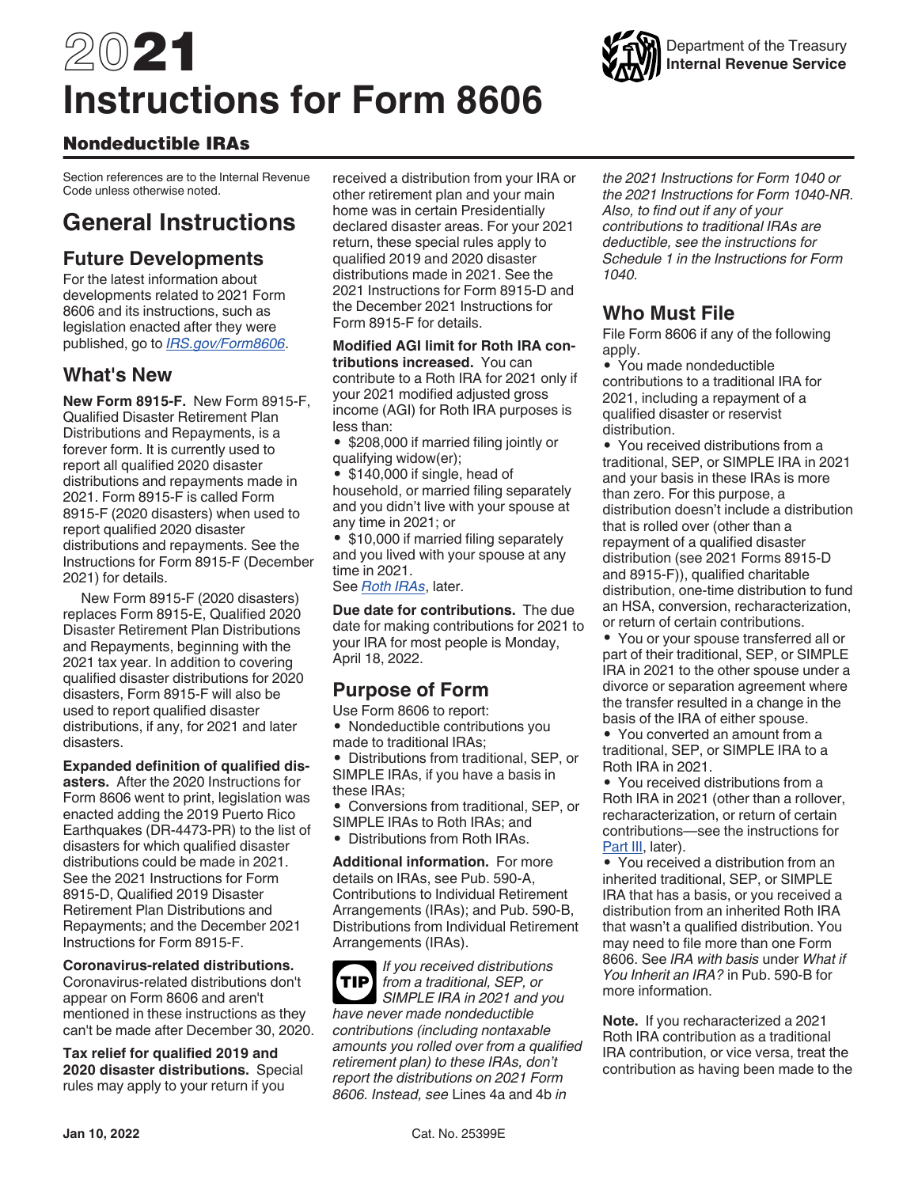# 2021 **Instructions for Form 8606**

## Nondeductible IRAs

Section references are to the Internal Revenue Code unless otherwise noted.

# **General Instructions**

## **Future Developments**

For the latest information about developments related to 2021 Form 8606 and its instructions, such as legislation enacted after they were published, go to *[IRS.gov/Form8606](https://www.irs.gov/forms-pubs/about-form-8606)*.

## **What's New**

**New Form 8915-F.** New Form 8915-F, Qualified Disaster Retirement Plan Distributions and Repayments, is a forever form. It is currently used to report all qualified 2020 disaster distributions and repayments made in 2021. Form 8915-F is called Form 8915-F (2020 disasters) when used to report qualified 2020 disaster distributions and repayments. See the Instructions for Form 8915-F (December 2021) for details.

New Form 8915-F (2020 disasters) replaces Form 8915-E, Qualified 2020 Disaster Retirement Plan Distributions and Repayments, beginning with the 2021 tax year. In addition to covering qualified disaster distributions for 2020 disasters, Form 8915-F will also be used to report qualified disaster distributions, if any, for 2021 and later disasters.

**Expanded definition of qualified disasters.** After the 2020 Instructions for Form 8606 went to print, legislation was enacted adding the 2019 Puerto Rico Earthquakes (DR-4473-PR) to the list of disasters for which qualified disaster distributions could be made in 2021. See the 2021 Instructions for Form 8915-D, Qualified 2019 Disaster Retirement Plan Distributions and Repayments; and the December 2021 Instructions for Form 8915-F.

**Coronavirus-related distributions.**  Coronavirus-related distributions don't appear on Form 8606 and aren't mentioned in these instructions as they can't be made after December 30, 2020.

**Tax relief for qualified 2019 and 2020 disaster distributions.** Special rules may apply to your return if you

received a distribution from your IRA or other retirement plan and your main home was in certain Presidentially declared disaster areas. For your 2021 return, these special rules apply to qualified 2019 and 2020 disaster distributions made in 2021. See the 2021 Instructions for Form 8915-D and the December 2021 Instructions for Form 8915-F for details.

**Modified AGI limit for Roth IRA contributions increased.** You can contribute to a Roth IRA for 2021 only if your 2021 modified adjusted gross income (AGI) for Roth IRA purposes is less than:

• \$208,000 if married filing jointly or qualifying widow(er);

• \$140,000 if single, head of household, or married filing separately and you didn't live with your spouse at any time in 2021; or

• \$10,000 if married filing separately and you lived with your spouse at any time in 2021.

See *Roth IRAs*, later.

**Due date for contributions.** The due date for making contributions for 2021 to your IRA for most people is Monday, April 18, 2022.

## **Purpose of Form**

Use Form 8606 to report:

• Nondeductible contributions you made to traditional IRAs;

• Distributions from traditional, SEP, or SIMPLE IRAs, if you have a basis in these IRAs;

• Conversions from traditional, SEP, or SIMPLE IRAs to Roth IRAs; and

• Distributions from Roth IRAs.

**Additional information.** For more details on IRAs, see Pub. 590-A, Contributions to Individual Retirement Arrangements (IRAs); and Pub. 590-B, Distributions from Individual Retirement Arrangements (IRAs).

*If you received distributions from a traditional, SEP, or SIMPLE IRA in 2021 and you have never made nondeductible contributions (including nontaxable amounts you rolled over from a qualified retirement plan) to these IRAs, don't report the distributions on 2021 Form 8606. Instead, see* Lines 4a and 4b *in*  **TIP**

*the 2021 Instructions for Form 1040 or the 2021 Instructions for Form 1040-NR. Also, to find out if any of your contributions to traditional IRAs are deductible, see the instructions for Schedule 1 in the Instructions for Form 1040.*

## **Who Must File**

File Form 8606 if any of the following apply.

• You made nondeductible contributions to a traditional IRA for 2021, including a repayment of a qualified disaster or reservist distribution.

• You received distributions from a traditional, SEP, or SIMPLE IRA in 2021 and your basis in these IRAs is more than zero. For this purpose, a distribution doesn't include a distribution that is rolled over (other than a repayment of a qualified disaster distribution (see 2021 Forms 8915-D and 8915-F)), qualified charitable distribution, one-time distribution to fund an HSA, conversion, recharacterization, or return of certain contributions.

• You or your spouse transferred all or part of their traditional, SEP, or SIMPLE IRA in 2021 to the other spouse under a divorce or separation agreement where the transfer resulted in a change in the basis of the IRA of either spouse.

• You converted an amount from a traditional, SEP, or SIMPLE IRA to a Roth IRA in 2021.

• You received distributions from a Roth IRA in 2021 (other than a rollover, recharacterization, or return of certain contributions—see the instructions for Part III, later).

• You received a distribution from an inherited traditional, SEP, or SIMPLE IRA that has a basis, or you received a distribution from an inherited Roth IRA that wasn't a qualified distribution. You may need to file more than one Form 8606. See *IRA with basis* under *What if You Inherit an IRA?* in Pub. 590-B for more information.

**Note.** If you recharacterized a 2021 Roth IRA contribution as a traditional IRA contribution, or vice versa, treat the contribution as having been made to the

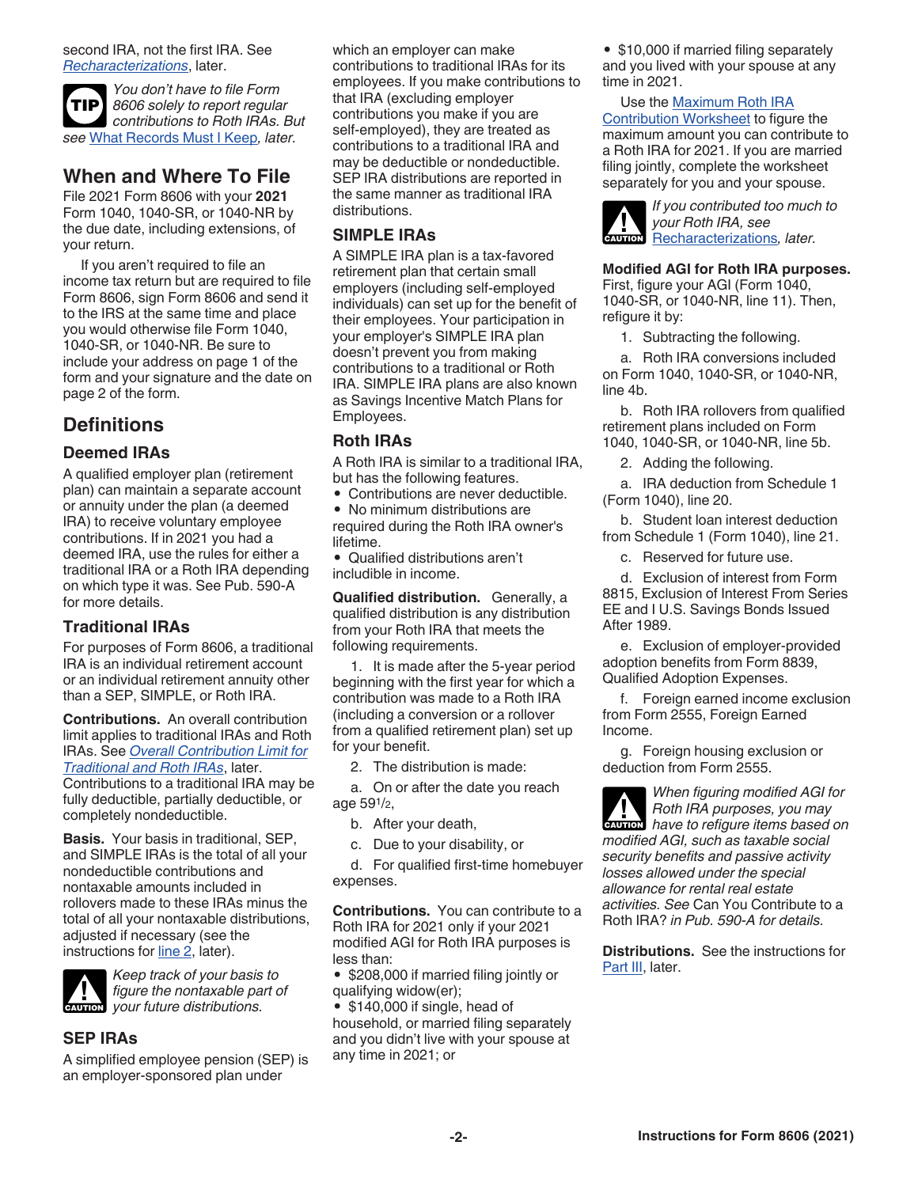second IRA, not the first IRA. See *Recharacterizations*, later.

*You don't have to file Form 8606 solely to report regular contributions to Roth IRAs. But see* What Records Must I Keep*, later.* **TIP**

## **When and Where To File**

File 2021 Form 8606 with your **2021**  Form 1040, 1040-SR, or 1040-NR by the due date, including extensions, of your return.

If you aren't required to file an income tax return but are required to file Form 8606, sign Form 8606 and send it to the IRS at the same time and place you would otherwise file Form 1040, 1040-SR, or 1040-NR. Be sure to include your address on page 1 of the form and your signature and the date on page 2 of the form.

## **Definitions**

#### **Deemed IRAs**

A qualified employer plan (retirement plan) can maintain a separate account or annuity under the plan (a deemed IRA) to receive voluntary employee contributions. If in 2021 you had a deemed IRA, use the rules for either a traditional IRA or a Roth IRA depending on which type it was. See Pub. 590-A for more details.

#### **Traditional IRAs**

For purposes of Form 8606, a traditional IRA is an individual retirement account or an individual retirement annuity other than a SEP, SIMPLE, or Roth IRA.

**Contributions.** An overall contribution limit applies to traditional IRAs and Roth IRAs. See *Overall Contribution Limit for Traditional and Roth IRAs*, later. Contributions to a traditional IRA may be fully deductible, partially deductible, or completely nondeductible.

**Basis.** Your basis in traditional, SEP, and SIMPLE IRAs is the total of all your nondeductible contributions and nontaxable amounts included in rollovers made to these IRAs minus the total of all your nontaxable distributions, adjusted if necessary (see the instructions for line 2, later).



*Keep track of your basis to figure the nontaxable part of CAUTION* figure the nontaxable particle for your future distributions.

#### **SEP IRAs**

A simplified employee pension (SEP) is an employer-sponsored plan under

which an employer can make contributions to traditional IRAs for its employees. If you make contributions to that IRA (excluding employer contributions you make if you are self-employed), they are treated as contributions to a traditional IRA and may be deductible or nondeductible. SEP IRA distributions are reported in the same manner as traditional IRA distributions.

#### **SIMPLE IRAs**

A SIMPLE IRA plan is a tax-favored retirement plan that certain small employers (including self-employed individuals) can set up for the benefit of their employees. Your participation in your employer's SIMPLE IRA plan doesn't prevent you from making contributions to a traditional or Roth IRA. SIMPLE IRA plans are also known as Savings Incentive Match Plans for Employees.

#### **Roth IRAs**

A Roth IRA is similar to a traditional IRA, but has the following features.

• Contributions are never deductible.

• No minimum distributions are required during the Roth IRA owner's lifetime.

• Qualified distributions aren't includible in income.

**Qualified distribution.** Generally, a qualified distribution is any distribution from your Roth IRA that meets the following requirements.

1. It is made after the 5-year period beginning with the first year for which a contribution was made to a Roth IRA (including a conversion or a rollover from a qualified retirement plan) set up for your benefit.

2. The distribution is made:

a. On or after the date you reach age 591/2,

b. After your death,

c. Due to your disability, or

d. For qualified first-time homebuyer expenses.

**Contributions.** You can contribute to a Roth IRA for 2021 only if your 2021 modified AGI for Roth IRA purposes is less than:

• \$208,000 if married filing jointly or qualifying widow(er);

• \$140,000 if single, head of household, or married filing separately and you didn't live with your spouse at any time in 2021; or

• \$10,000 if married filing separately and you lived with your spouse at any time in 2021.

#### Use the Maximum Roth IRA

Contribution Worksheet to figure the maximum amount you can contribute to a Roth IRA for 2021. If you are married filing jointly, complete the worksheet separately for you and your spouse.



#### **Modified AGI for Roth IRA purposes.**

First, figure your AGI (Form 1040, 1040-SR, or 1040-NR, line 11). Then, refigure it by:

1. Subtracting the following.

a. Roth IRA conversions included on Form 1040, 1040-SR, or 1040-NR, line 4b.

b. Roth IRA rollovers from qualified retirement plans included on Form 1040, 1040-SR, or 1040-NR, line 5b.

2. Adding the following.

a. IRA deduction from Schedule 1 (Form 1040), line 20.

b. Student loan interest deduction from Schedule 1 (Form 1040), line 21.

c. Reserved for future use.

d. Exclusion of interest from Form 8815, Exclusion of Interest From Series EE and I U.S. Savings Bonds Issued After 1989.

e. Exclusion of employer-provided adoption benefits from Form 8839, Qualified Adoption Expenses.

f. Foreign earned income exclusion from Form 2555, Foreign Earned Income.

g. Foreign housing exclusion or deduction from Form 2555.

*When figuring modified AGI for Roth IRA purposes, you may have to refigure items based on modified AGI, such as taxable social security benefits and passive activity losses allowed under the special allowance for rental real estate activities. See* Can You Contribute to a Roth IRA? *in Pub. 590-A for details.*

**Distributions.** See the instructions for Part III, later.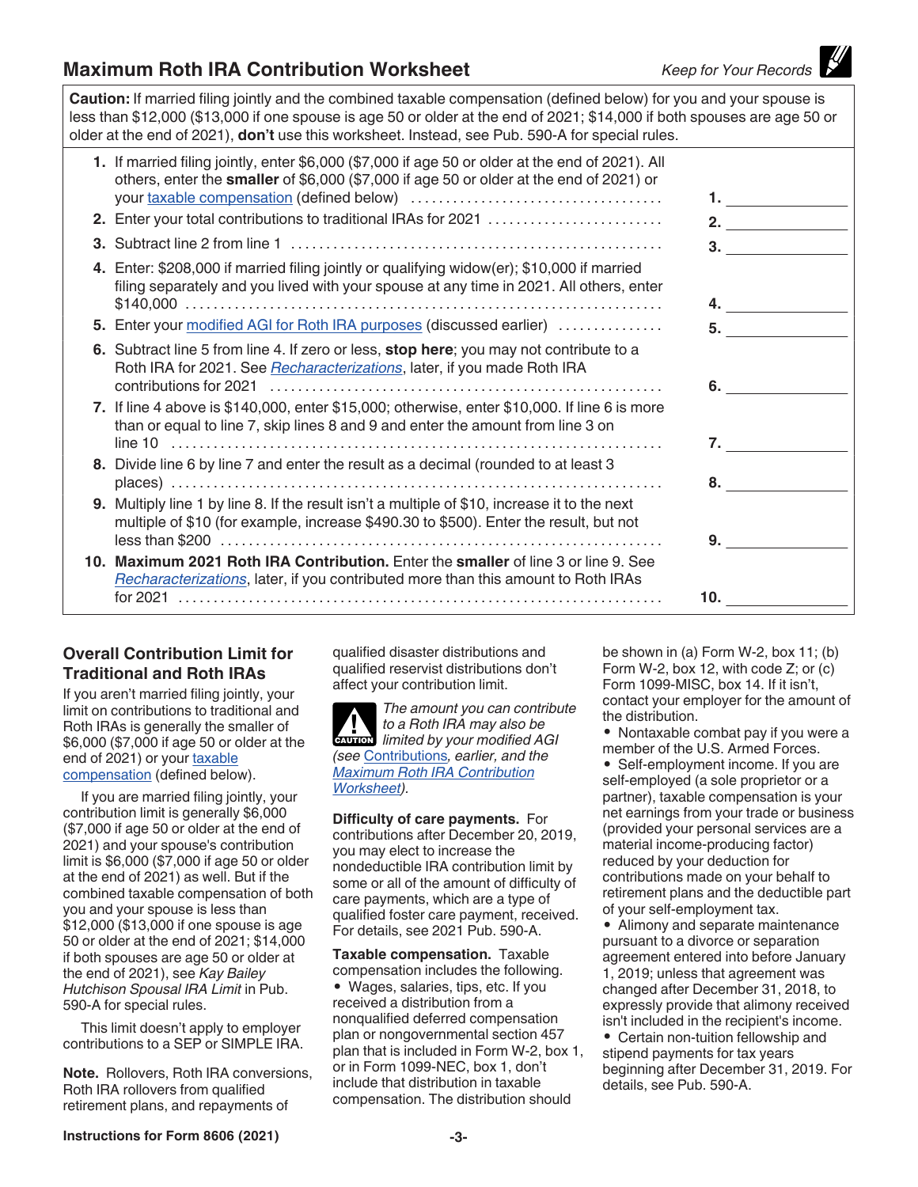## **Maximum Roth IRA Contribution Worksheet** *Keep for Your Records*

**Caution:** If married filing jointly and the combined taxable compensation (defined below) for you and your spouse is less than \$12,000 (\$13,000 if one spouse is age 50 or older at the end of 2021; \$14,000 if both spouses are age 50 or older at the end of 2021), **don't** use this worksheet. Instead, see Pub. 590-A for special rules.

|    | 1. If married filing jointly, enter \$6,000 (\$7,000 if age 50 or older at the end of 2021). All<br>others, enter the smaller of \$6,000 (\$7,000 if age 50 or older at the end of 2021) or<br>2. Enter your total contributions to traditional IRAs for 2021 | 1. $\sim$ $\sim$ $\sim$ $\sim$<br>2. $\qquad \qquad$ |
|----|---------------------------------------------------------------------------------------------------------------------------------------------------------------------------------------------------------------------------------------------------------------|------------------------------------------------------|
| 3. |                                                                                                                                                                                                                                                               | 3.                                                   |
|    | 4. Enter: \$208,000 if married filing jointly or qualifying widow(er); \$10,000 if married<br>filing separately and you lived with your spouse at any time in 2021. All others, enter                                                                         |                                                      |
|    | 5. Enter your modified AGI for Roth IRA purposes (discussed earlier)                                                                                                                                                                                          | 5.                                                   |
|    | 6. Subtract line 5 from line 4. If zero or less, stop here; you may not contribute to a<br>Roth IRA for 2021. See Recharacterizations, later, if you made Roth IRA                                                                                            |                                                      |
|    | 7. If line 4 above is \$140,000, enter \$15,000; otherwise, enter \$10,000. If line 6 is more<br>than or equal to line 7, skip lines 8 and 9 and enter the amount from line 3 on                                                                              |                                                      |
|    | 8. Divide line 6 by line 7 and enter the result as a decimal (rounded to at least 3                                                                                                                                                                           |                                                      |
|    |                                                                                                                                                                                                                                                               |                                                      |
|    | 9. Multiply line 1 by line 8. If the result isn't a multiple of \$10, increase it to the next<br>multiple of \$10 (for example, increase \$490.30 to \$500). Enter the result, but not                                                                        |                                                      |
|    | $less than $200                    $                                                                                                                                                                                                                          |                                                      |
|    | 10. Maximum 2021 Roth IRA Contribution. Enter the smaller of line 3 or line 9. See<br>Recharacterizations, later, if you contributed more than this amount to Roth IRAs                                                                                       |                                                      |
|    |                                                                                                                                                                                                                                                               | 10.                                                  |

#### **Overall Contribution Limit for Traditional and Roth IRAs**

If you aren't married filing jointly, your limit on contributions to traditional and Roth IRAs is generally the smaller of \$6,000 (\$7,000 if age 50 or older at the end of 2021) or your taxable compensation (defined below).

If you are married filing jointly, your contribution limit is generally \$6,000 (\$7,000 if age 50 or older at the end of 2021) and your spouse's contribution limit is \$6,000 (\$7,000 if age 50 or older at the end of 2021) as well. But if the combined taxable compensation of both you and your spouse is less than \$12,000 (\$13,000 if one spouse is age 50 or older at the end of 2021; \$14,000 if both spouses are age 50 or older at the end of 2021), see *Kay Bailey Hutchison Spousal IRA Limit* in Pub. 590-A for special rules.

This limit doesn't apply to employer contributions to a SEP or SIMPLE IRA.

**Note.** Rollovers, Roth IRA conversions, Roth IRA rollovers from qualified retirement plans, and repayments of

qualified disaster distributions and qualified reservist distributions don't affect your contribution limit.

*The amount you can contribute to a Roth IRA may also be limited by your modified AGI (see* Contributions*, earlier, and the Maximum Roth IRA Contribution Worksheet).*

**Difficulty of care payments.** For contributions after December 20, 2019, you may elect to increase the nondeductible IRA contribution limit by some or all of the amount of difficulty of care payments, which are a type of qualified foster care payment, received. For details, see 2021 Pub. 590-A.

**Taxable compensation.** Taxable compensation includes the following. • Wages, salaries, tips, etc. If you received a distribution from a nonqualified deferred compensation plan or nongovernmental section 457 plan that is included in Form W-2, box 1, or in Form 1099-NEC, box 1, don't include that distribution in taxable compensation. The distribution should

be shown in (a) Form W-2, box 11; (b) Form W-2, box 12, with code Z; or (c) Form 1099-MISC, box 14. If it isn't, contact your employer for the amount of the distribution.

• Nontaxable combat pay if you were a member of the U.S. Armed Forces.

• Self-employment income. If you are self-employed (a sole proprietor or a partner), taxable compensation is your net earnings from your trade or business (provided your personal services are a material income-producing factor) reduced by your deduction for contributions made on your behalf to retirement plans and the deductible part of your self-employment tax.

• Alimony and separate maintenance pursuant to a divorce or separation agreement entered into before January 1, 2019; unless that agreement was changed after December 31, 2018, to expressly provide that alimony received isn't included in the recipient's income.

• Certain non-tuition fellowship and stipend payments for tax years beginning after December 31, 2019. For details, see Pub. 590-A.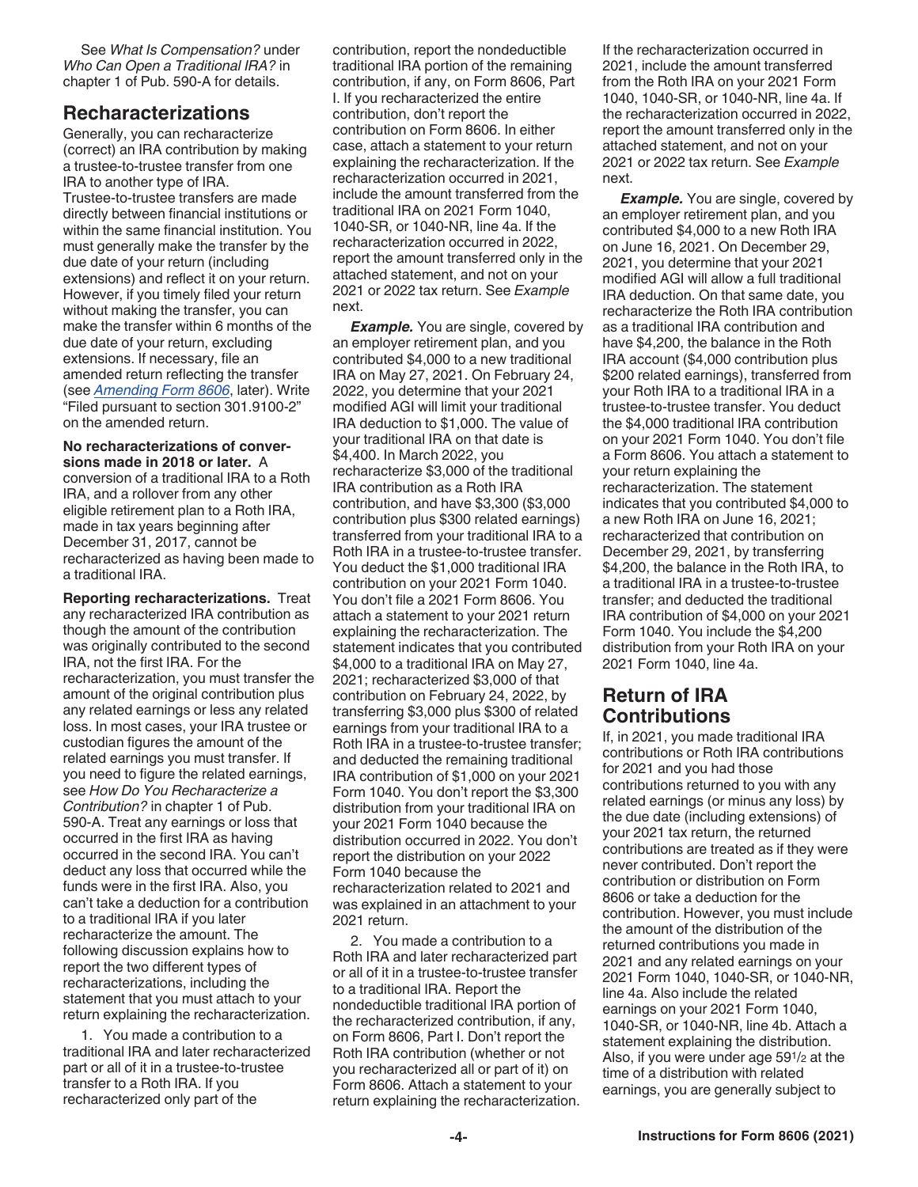See *What Is Compensation?* under *Who Can Open a Traditional IRA?* in chapter 1 of Pub. 590-A for details.

## **Recharacterizations**

Generally, you can recharacterize (correct) an IRA contribution by making a trustee-to-trustee transfer from one IRA to another type of IRA. Trustee-to-trustee transfers are made directly between financial institutions or within the same financial institution. You must generally make the transfer by the due date of your return (including extensions) and reflect it on your return. However, if you timely filed your return without making the transfer, you can make the transfer within 6 months of the due date of your return, excluding extensions. If necessary, file an amended return reflecting the transfer (see *Amending Form 8606*, later). Write "Filed pursuant to section 301.9100-2" on the amended return.

**No recharacterizations of conversions made in 2018 or later.** A conversion of a traditional IRA to a Roth IRA, and a rollover from any other eligible retirement plan to a Roth IRA, made in tax years beginning after December 31, 2017, cannot be recharacterized as having been made to a traditional IRA.

**Reporting recharacterizations.** Treat any recharacterized IRA contribution as though the amount of the contribution was originally contributed to the second IRA, not the first IRA. For the recharacterization, you must transfer the amount of the original contribution plus any related earnings or less any related loss. In most cases, your IRA trustee or custodian figures the amount of the related earnings you must transfer. If you need to figure the related earnings, see *How Do You Recharacterize a Contribution?* in chapter 1 of Pub. 590-A. Treat any earnings or loss that occurred in the first IRA as having occurred in the second IRA. You can't deduct any loss that occurred while the funds were in the first IRA. Also, you can't take a deduction for a contribution to a traditional IRA if you later recharacterize the amount. The following discussion explains how to report the two different types of recharacterizations, including the statement that you must attach to your return explaining the recharacterization.

1. You made a contribution to a traditional IRA and later recharacterized part or all of it in a trustee-to-trustee transfer to a Roth IRA. If you recharacterized only part of the

contribution, report the nondeductible traditional IRA portion of the remaining contribution, if any, on Form 8606, Part I. If you recharacterized the entire contribution, don't report the contribution on Form 8606. In either case, attach a statement to your return explaining the recharacterization. If the recharacterization occurred in 2021, include the amount transferred from the traditional IRA on 2021 Form 1040, 1040-SR, or 1040-NR, line 4a. If the recharacterization occurred in 2022, report the amount transferred only in the attached statement, and not on your 2021 or 2022 tax return. See *Example*  next.

**Example.** You are single, covered by an employer retirement plan, and you contributed \$4,000 to a new traditional IRA on May 27, 2021. On February 24, 2022, you determine that your 2021 modified AGI will limit your traditional IRA deduction to \$1,000. The value of your traditional IRA on that date is \$4,400. In March 2022, you recharacterize \$3,000 of the traditional IRA contribution as a Roth IRA contribution, and have \$3,300 (\$3,000 contribution plus \$300 related earnings) transferred from your traditional IRA to a Roth IRA in a trustee-to-trustee transfer. You deduct the \$1,000 traditional IRA contribution on your 2021 Form 1040. You don't file a 2021 Form 8606. You attach a statement to your 2021 return explaining the recharacterization. The statement indicates that you contributed \$4,000 to a traditional IRA on May 27, 2021; recharacterized \$3,000 of that contribution on February 24, 2022, by transferring \$3,000 plus \$300 of related earnings from your traditional IRA to a Roth IRA in a trustee-to-trustee transfer; and deducted the remaining traditional IRA contribution of \$1,000 on your 2021 Form 1040. You don't report the \$3,300 distribution from your traditional IRA on your 2021 Form 1040 because the distribution occurred in 2022. You don't report the distribution on your 2022 Form 1040 because the recharacterization related to 2021 and was explained in an attachment to your 2021 return.

2. You made a contribution to a Roth IRA and later recharacterized part or all of it in a trustee-to-trustee transfer to a traditional IRA. Report the nondeductible traditional IRA portion of the recharacterized contribution, if any, on Form 8606, Part I. Don't report the Roth IRA contribution (whether or not you recharacterized all or part of it) on Form 8606. Attach a statement to your return explaining the recharacterization. If the recharacterization occurred in 2021, include the amount transferred from the Roth IRA on your 2021 Form 1040, 1040-SR, or 1040-NR, line 4a. If the recharacterization occurred in 2022, report the amount transferred only in the attached statement, and not on your 2021 or 2022 tax return. See *Example*  next.

**Example.** You are single, covered by an employer retirement plan, and you contributed \$4,000 to a new Roth IRA on June 16, 2021. On December 29, 2021, you determine that your 2021 modified AGI will allow a full traditional IRA deduction. On that same date, you recharacterize the Roth IRA contribution as a traditional IRA contribution and have \$4,200, the balance in the Roth IRA account (\$4,000 contribution plus \$200 related earnings), transferred from your Roth IRA to a traditional IRA in a trustee-to-trustee transfer. You deduct the \$4,000 traditional IRA contribution on your 2021 Form 1040. You don't file a Form 8606. You attach a statement to your return explaining the recharacterization. The statement indicates that you contributed \$4,000 to a new Roth IRA on June 16, 2021; recharacterized that contribution on December 29, 2021, by transferring \$4,200, the balance in the Roth IRA, to a traditional IRA in a trustee-to-trustee transfer; and deducted the traditional IRA contribution of \$4,000 on your 2021 Form 1040. You include the \$4,200 distribution from your Roth IRA on your 2021 Form 1040, line 4a.

## **Return of IRA Contributions**

If, in 2021, you made traditional IRA contributions or Roth IRA contributions for 2021 and you had those contributions returned to you with any related earnings (or minus any loss) by the due date (including extensions) of your 2021 tax return, the returned contributions are treated as if they were never contributed. Don't report the contribution or distribution on Form 8606 or take a deduction for the contribution. However, you must include the amount of the distribution of the returned contributions you made in 2021 and any related earnings on your 2021 Form 1040, 1040-SR, or 1040-NR, line 4a. Also include the related earnings on your 2021 Form 1040, 1040-SR, or 1040-NR, line 4b. Attach a statement explaining the distribution. Also, if you were under age 591/2 at the time of a distribution with related earnings, you are generally subject to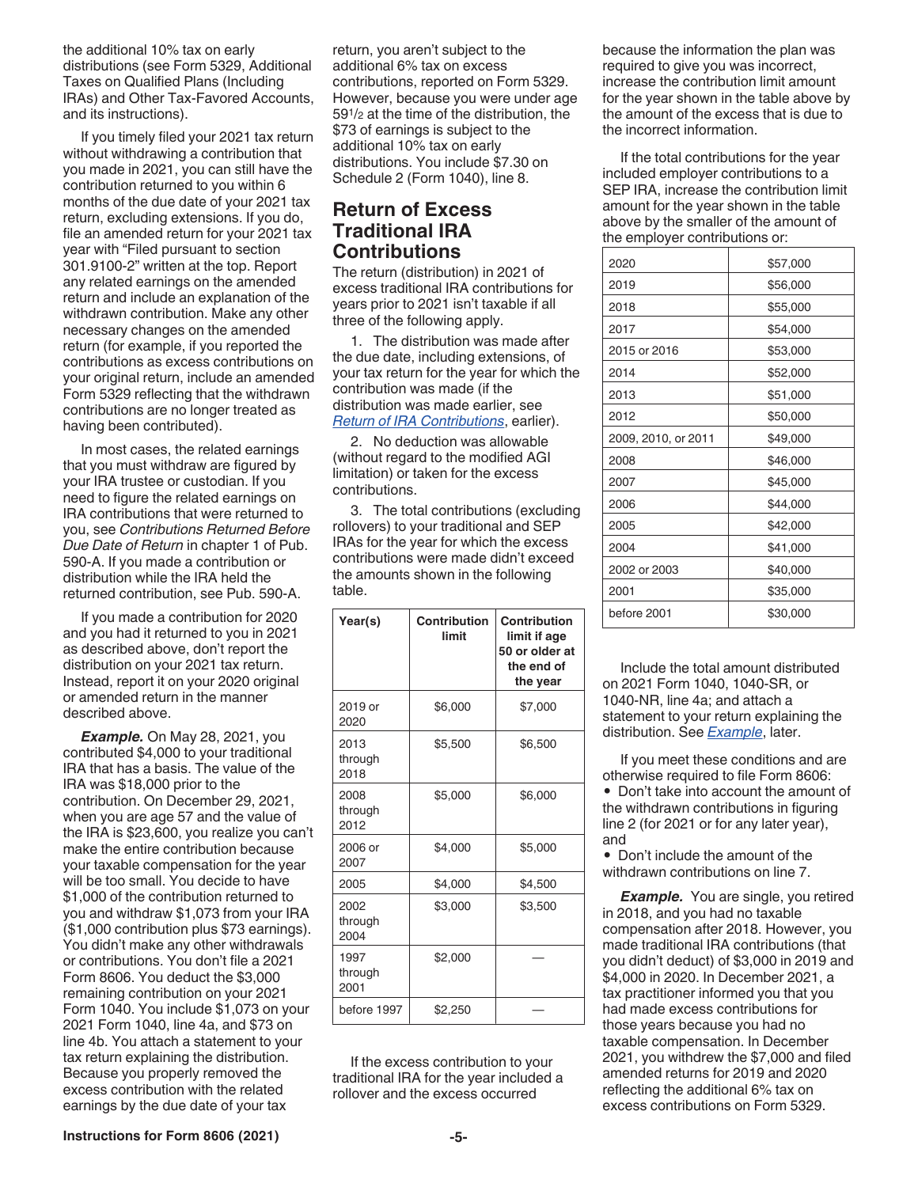the additional 10% tax on early distributions (see Form 5329, Additional Taxes on Qualified Plans (Including IRAs) and Other Tax-Favored Accounts, and its instructions).

If you timely filed your 2021 tax return without withdrawing a contribution that you made in 2021, you can still have the contribution returned to you within 6 months of the due date of your 2021 tax return, excluding extensions. If you do, file an amended return for your 2021 tax year with "Filed pursuant to section 301.9100-2" written at the top. Report any related earnings on the amended return and include an explanation of the withdrawn contribution. Make any other necessary changes on the amended return (for example, if you reported the contributions as excess contributions on your original return, include an amended Form 5329 reflecting that the withdrawn contributions are no longer treated as having been contributed).

In most cases, the related earnings that you must withdraw are figured by your IRA trustee or custodian. If you need to figure the related earnings on IRA contributions that were returned to you, see *Contributions Returned Before Due Date of Return* in chapter 1 of Pub. 590-A. If you made a contribution or distribution while the IRA held the returned contribution, see Pub. 590-A.

If you made a contribution for 2020 and you had it returned to you in 2021 as described above, don't report the distribution on your 2021 tax return. Instead, report it on your 2020 original or amended return in the manner described above.

*Example.* On May 28, 2021, you contributed \$4,000 to your traditional IRA that has a basis. The value of the IRA was \$18,000 prior to the contribution. On December 29, 2021, when you are age 57 and the value of the IRA is \$23,600, you realize you can't make the entire contribution because your taxable compensation for the year will be too small. You decide to have \$1,000 of the contribution returned to you and withdraw \$1,073 from your IRA (\$1,000 contribution plus \$73 earnings). You didn't make any other withdrawals or contributions. You don't file a 2021 Form 8606. You deduct the \$3,000 remaining contribution on your 2021 Form 1040. You include \$1,073 on your 2021 Form 1040, line 4a, and \$73 on line 4b. You attach a statement to your tax return explaining the distribution. Because you properly removed the excess contribution with the related earnings by the due date of your tax

return, you aren't subject to the additional 6% tax on excess contributions, reported on Form 5329. However, because you were under age 591/2 at the time of the distribution, the \$73 of earnings is subject to the additional 10% tax on early distributions. You include \$7.30 on Schedule 2 (Form 1040), line 8.

## **Return of Excess Traditional IRA Contributions**

The return (distribution) in 2021 of excess traditional IRA contributions for years prior to 2021 isn't taxable if all three of the following apply.

1. The distribution was made after the due date, including extensions, of your tax return for the year for which the contribution was made (if the distribution was made earlier, see *Return of IRA Contributions*, earlier).

2. No deduction was allowable (without regard to the modified AGI limitation) or taken for the excess contributions.

3. The total contributions (excluding rollovers) to your traditional and SEP IRAs for the year for which the excess contributions were made didn't exceed the amounts shown in the following table.

| Year(s)                 | Contribution<br>limit | Contribution<br>limit if age<br>50 or older at<br>the end of<br>the year |
|-------------------------|-----------------------|--------------------------------------------------------------------------|
| 2019 or<br>2020         | \$6,000               | \$7,000                                                                  |
| 2013<br>through<br>2018 | \$5,500               | \$6,500                                                                  |
| 2008<br>through<br>2012 | \$5,000               | \$6,000                                                                  |
| 2006 or<br>2007         | \$4,000               | \$5,000                                                                  |
| 2005                    | \$4,000               | \$4,500                                                                  |
| 2002<br>through<br>2004 | \$3,000               | \$3,500                                                                  |
| 1997<br>through<br>2001 | \$2,000               |                                                                          |
| before 1997             | \$2,250               |                                                                          |

If the excess contribution to your traditional IRA for the year included a rollover and the excess occurred

because the information the plan was required to give you was incorrect, increase the contribution limit amount for the year shown in the table above by the amount of the excess that is due to the incorrect information.

If the total contributions for the year included employer contributions to a SEP IRA, increase the contribution limit amount for the year shown in the table above by the smaller of the amount of the employer contributions or:

| 2020                | \$57,000 |
|---------------------|----------|
| 2019                | \$56,000 |
| 2018                | \$55,000 |
| 2017                | \$54,000 |
| 2015 or 2016        | \$53,000 |
| 2014                | \$52,000 |
| 2013                | \$51,000 |
| 2012                | \$50,000 |
| 2009, 2010, or 2011 | \$49,000 |
| 2008                | \$46,000 |
| 2007                | \$45,000 |
| 2006                | \$44,000 |
| 2005                | \$42,000 |
| 2004                | \$41,000 |
| 2002 or 2003        | \$40,000 |
| 2001                | \$35,000 |
| before 2001         | \$30,000 |

Include the total amount distributed on 2021 Form 1040, 1040-SR, or 1040-NR, line 4a; and attach a statement to your return explaining the distribution. See *Example*, later.

If you meet these conditions and are otherwise required to file Form 8606: • Don't take into account the amount of the withdrawn contributions in figuring line 2 (for 2021 or for any later year), and

• Don't include the amount of the withdrawn contributions on line 7.

**Example.** You are single, you retired in 2018, and you had no taxable compensation after 2018. However, you made traditional IRA contributions (that you didn't deduct) of \$3,000 in 2019 and \$4,000 in 2020. In December 2021, a tax practitioner informed you that you had made excess contributions for those years because you had no taxable compensation. In December 2021, you withdrew the \$7,000 and filed amended returns for 2019 and 2020 reflecting the additional 6% tax on excess contributions on Form 5329.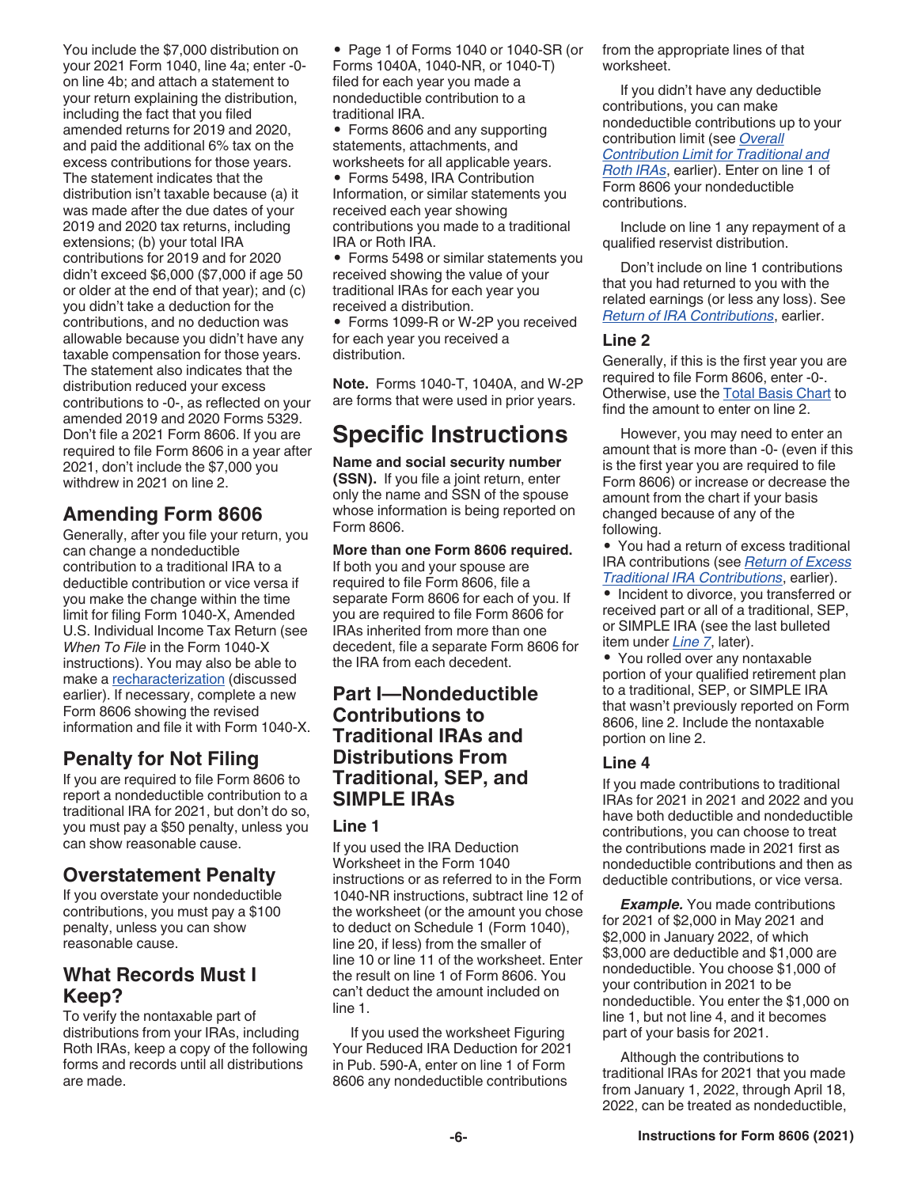You include the \$7,000 distribution on your 2021 Form 1040, line 4a; enter -0 on line 4b; and attach a statement to your return explaining the distribution, including the fact that you filed amended returns for 2019 and 2020, and paid the additional 6% tax on the excess contributions for those years. The statement indicates that the distribution isn't taxable because (a) it was made after the due dates of your 2019 and 2020 tax returns, including extensions; (b) your total IRA contributions for 2019 and for 2020 didn't exceed \$6,000 (\$7,000 if age 50 or older at the end of that year); and (c) you didn't take a deduction for the contributions, and no deduction was allowable because you didn't have any taxable compensation for those years. The statement also indicates that the distribution reduced your excess contributions to -0-, as reflected on your amended 2019 and 2020 Forms 5329. Don't file a 2021 Form 8606. If you are required to file Form 8606 in a year after 2021, don't include the \$7,000 you withdrew in 2021 on line 2.

## **Amending Form 8606**

Generally, after you file your return, you can change a nondeductible contribution to a traditional IRA to a deductible contribution or vice versa if you make the change within the time limit for filing Form 1040-X, Amended U.S. Individual Income Tax Return (see *When To File* in the Form 1040-X instructions). You may also be able to make a recharacterization (discussed earlier). If necessary, complete a new Form 8606 showing the revised information and file it with Form 1040-X.

## **Penalty for Not Filing**

If you are required to file Form 8606 to report a nondeductible contribution to a traditional IRA for 2021, but don't do so, you must pay a \$50 penalty, unless you can show reasonable cause.

## **Overstatement Penalty**

If you overstate your nondeductible contributions, you must pay a \$100 penalty, unless you can show reasonable cause.

## **What Records Must I Keep?**

To verify the nontaxable part of distributions from your IRAs, including Roth IRAs, keep a copy of the following forms and records until all distributions are made.

• Page 1 of Forms 1040 or 1040-SR (or Forms 1040A, 1040-NR, or 1040-T) filed for each year you made a nondeductible contribution to a traditional IRA.

• Forms 8606 and any supporting statements, attachments, and worksheets for all applicable years.

• Forms 5498, IRA Contribution Information, or similar statements you received each year showing contributions you made to a traditional IRA or Roth IRA.

• Forms 5498 or similar statements you received showing the value of your traditional IRAs for each year you received a distribution.

• Forms 1099-R or W-2P you received for each year you received a distribution.

**Note.** Forms 1040-T, 1040A, and W-2P are forms that were used in prior years.

# **Specific Instructions**

**Name and social security number (SSN).** If you file a joint return, enter only the name and SSN of the spouse whose information is being reported on Form 8606.

**More than one Form 8606 required.**  If both you and your spouse are required to file Form 8606, file a separate Form 8606 for each of you. If you are required to file Form 8606 for IRAs inherited from more than one decedent, file a separate Form 8606 for the IRA from each decedent.

## **Part I—Nondeductible Contributions to Traditional IRAs and Distributions From Traditional, SEP, and SIMPLE IRAs**

#### **Line 1**

If you used the IRA Deduction Worksheet in the Form 1040 instructions or as referred to in the Form 1040-NR instructions, subtract line 12 of the worksheet (or the amount you chose to deduct on Schedule 1 (Form 1040), line 20, if less) from the smaller of line 10 or line 11 of the worksheet. Enter the result on line 1 of Form 8606. You can't deduct the amount included on line 1.

If you used the worksheet Figuring Your Reduced IRA Deduction for 2021 in Pub. 590-A, enter on line 1 of Form 8606 any nondeductible contributions

from the appropriate lines of that worksheet.

If you didn't have any deductible contributions, you can make nondeductible contributions up to your contribution limit (see *Overall Contribution Limit for Traditional and Roth IRAs*, earlier). Enter on line 1 of Form 8606 your nondeductible contributions.

Include on line 1 any repayment of a qualified reservist distribution.

Don't include on line 1 contributions that you had returned to you with the related earnings (or less any loss). See *Return of IRA Contributions*, earlier.

#### **Line 2**

Generally, if this is the first year you are required to file Form 8606, enter -0-. Otherwise, use the Total Basis Chart to find the amount to enter on line 2.

However, you may need to enter an amount that is more than -0- (even if this is the first year you are required to file Form 8606) or increase or decrease the amount from the chart if your basis changed because of any of the following.

• You had a return of excess traditional IRA contributions (see *Return of Excess Traditional IRA Contributions*, earlier).

• Incident to divorce, you transferred or received part or all of a traditional, SEP, or SIMPLE IRA (see the last bulleted item under *Line 7*, later).

• You rolled over any nontaxable portion of your qualified retirement plan to a traditional, SEP, or SIMPLE IRA that wasn't previously reported on Form 8606, line 2. Include the nontaxable portion on line 2.

#### **Line 4**

If you made contributions to traditional IRAs for 2021 in 2021 and 2022 and you have both deductible and nondeductible contributions, you can choose to treat the contributions made in 2021 first as nondeductible contributions and then as deductible contributions, or vice versa.

*Example.* You made contributions for 2021 of \$2,000 in May 2021 and \$2,000 in January 2022, of which \$3,000 are deductible and \$1,000 are nondeductible. You choose \$1,000 of your contribution in 2021 to be nondeductible. You enter the \$1,000 on line 1, but not line 4, and it becomes part of your basis for 2021.

Although the contributions to traditional IRAs for 2021 that you made from January 1, 2022, through April 18, 2022, can be treated as nondeductible,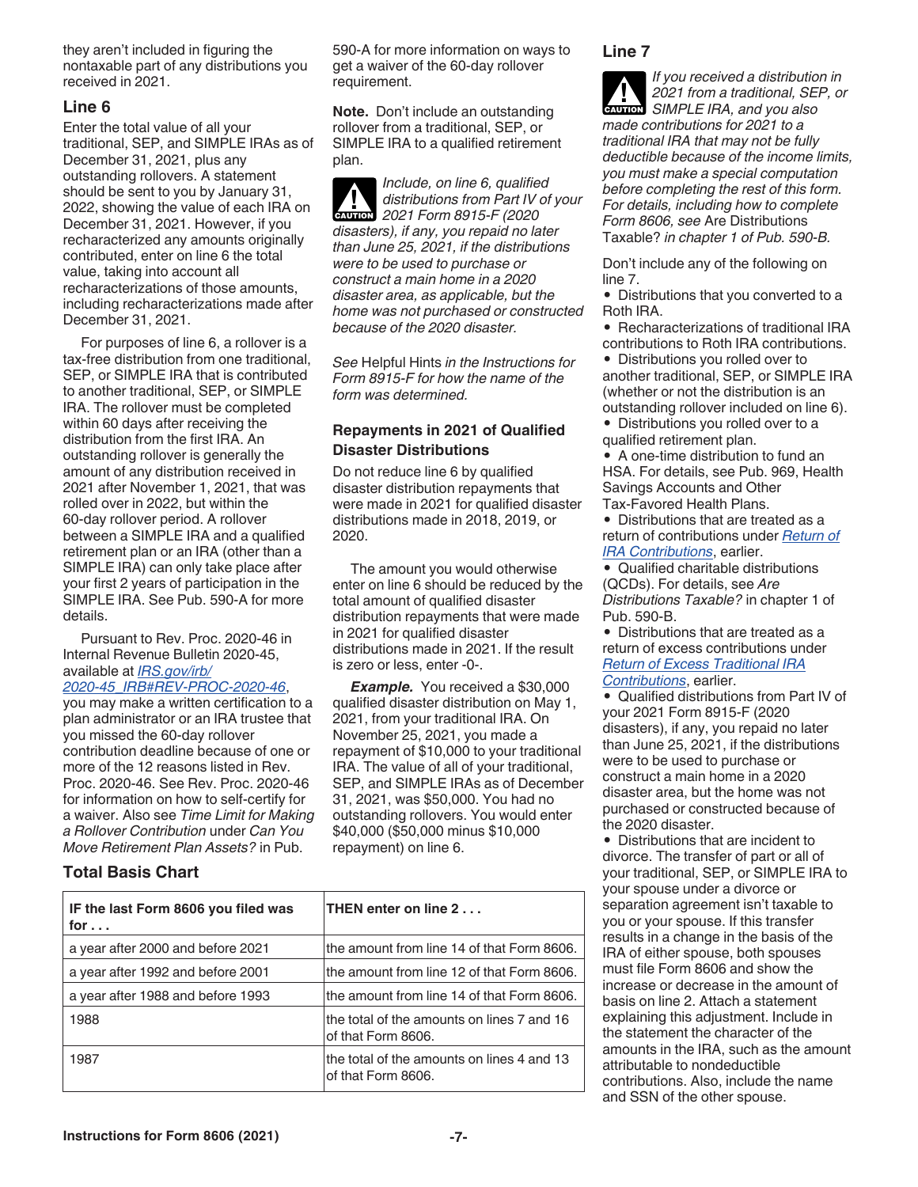they aren't included in figuring the nontaxable part of any distributions you received in 2021.

#### **Line 6**

Enter the total value of all your traditional, SEP, and SIMPLE IRAs as of December 31, 2021, plus any outstanding rollovers. A statement should be sent to you by January 31, 2022, showing the value of each IRA on December 31, 2021. However, if you recharacterized any amounts originally contributed, enter on line 6 the total value, taking into account all recharacterizations of those amounts, including recharacterizations made after December 31, 2021.

For purposes of line 6, a rollover is a tax-free distribution from one traditional, SEP, or SIMPLE IRA that is contributed to another traditional, SEP, or SIMPLE IRA. The rollover must be completed within 60 days after receiving the distribution from the first IRA. An outstanding rollover is generally the amount of any distribution received in 2021 after November 1, 2021, that was rolled over in 2022, but within the 60-day rollover period. A rollover between a SIMPLE IRA and a qualified retirement plan or an IRA (other than a SIMPLE IRA) can only take place after your first 2 years of participation in the SIMPLE IRA. See Pub. 590-A for more details.

Pursuant to Rev. Proc. 2020-46 in Internal Revenue Bulletin 2020-45, available at *[IRS.gov/irb/](https://www.irs.gov/irb/2020-45_IRB#REV-PROC-2020-46)*

#### *[2020-45\\_IRB#REV-PROC-2020-46](https://www.irs.gov/irb/2020-45_IRB#REV-PROC-2020-46)*,

you may make a written certification to a plan administrator or an IRA trustee that you missed the 60-day rollover contribution deadline because of one or more of the 12 reasons listed in Rev. Proc. 2020-46. See Rev. Proc. 2020-46 for information on how to self-certify for a waiver. Also see *Time Limit for Making a Rollover Contribution* under *Can You Move Retirement Plan Assets?* in Pub.

#### **Total Basis Chart**

590-A for more information on ways to get a waiver of the 60-day rollover requirement.

**Note.** Don't include an outstanding rollover from a traditional, SEP, or SIMPLE IRA to a qualified retirement plan.

*Include, on line 6, qualified distributions from Part IV of your*  **2021 Form 8915-F (2020)**<br> **CAUTION** *disasters), if any, you repaid no later than June 25, 2021, if the distributions were to be used to purchase or construct a main home in a 2020 disaster area, as applicable, but the home was not purchased or constructed because of the 2020 disaster.*

*See* Helpful Hints *in the Instructions for Form 8915-F for how the name of the form was determined.*

#### **Repayments in 2021 of Qualified Disaster Distributions**

Do not reduce line 6 by qualified disaster distribution repayments that were made in 2021 for qualified disaster distributions made in 2018, 2019, or 2020.

The amount you would otherwise enter on line 6 should be reduced by the total amount of qualified disaster distribution repayments that were made in 2021 for qualified disaster distributions made in 2021. If the result is zero or less, enter -0-.

*Example.* You received a \$30,000 qualified disaster distribution on May 1, 2021, from your traditional IRA. On November 25, 2021, you made a repayment of \$10,000 to your traditional IRA. The value of all of your traditional, SEP, and SIMPLE IRAs as of December 31, 2021, was \$50,000. You had no outstanding rollovers. You would enter \$40,000 (\$50,000 minus \$10,000 repayment) on line 6.

| IF the last Form 8606 you filed was<br>for $\ldots$ | THEN enter on line 2                                             |
|-----------------------------------------------------|------------------------------------------------------------------|
| a year after 2000 and before 2021                   | the amount from line 14 of that Form 8606.                       |
| a year after 1992 and before 2001                   | the amount from line 12 of that Form 8606.                       |
| a year after 1988 and before 1993                   | the amount from line 14 of that Form 8606.                       |
| 1988                                                | the total of the amounts on lines 7 and 16<br>of that Form 8606. |
| 1987                                                | the total of the amounts on lines 4 and 13<br>of that Form 8606. |

#### **Line 7**

*If you received a distribution in 2021 from a traditional, SEP, or*  **SIMPLE IRA, and you also CAUTION** *made contributions for 2021 to a traditional IRA that may not be fully deductible because of the income limits, you must make a special computation before completing the rest of this form. For details, including how to complete Form 8606, see* Are Distributions Taxable? *in chapter 1 of Pub. 590-B.*

Don't include any of the following on line 7.

• Distributions that you converted to a Roth IRA.

• Recharacterizations of traditional IRA contributions to Roth IRA contributions.

• Distributions you rolled over to another traditional, SEP, or SIMPLE IRA (whether or not the distribution is an outstanding rollover included on line 6).

• Distributions you rolled over to a qualified retirement plan.

• A one-time distribution to fund an HSA. For details, see Pub. 969, Health Savings Accounts and Other Tax-Favored Health Plans.

• Distributions that are treated as a return of contributions under *Return of IRA Contributions*, earlier.

• Qualified charitable distributions (QCDs). For details, see *Are Distributions Taxable?* in chapter 1 of Pub. 590-B.

• Distributions that are treated as a return of excess contributions under *Return of Excess Traditional IRA Contributions*, earlier.

• Qualified distributions from Part IV of your 2021 Form 8915-F (2020 disasters), if any, you repaid no later than June 25, 2021, if the distributions were to be used to purchase or construct a main home in a 2020 disaster area, but the home was not purchased or constructed because of the 2020 disaster.

• Distributions that are incident to divorce. The transfer of part or all of your traditional, SEP, or SIMPLE IRA to your spouse under a divorce or separation agreement isn't taxable to you or your spouse. If this transfer results in a change in the basis of the IRA of either spouse, both spouses must file Form 8606 and show the increase or decrease in the amount of basis on line 2. Attach a statement explaining this adjustment. Include in the statement the character of the amounts in the IRA, such as the amount attributable to nondeductible contributions. Also, include the name and SSN of the other spouse.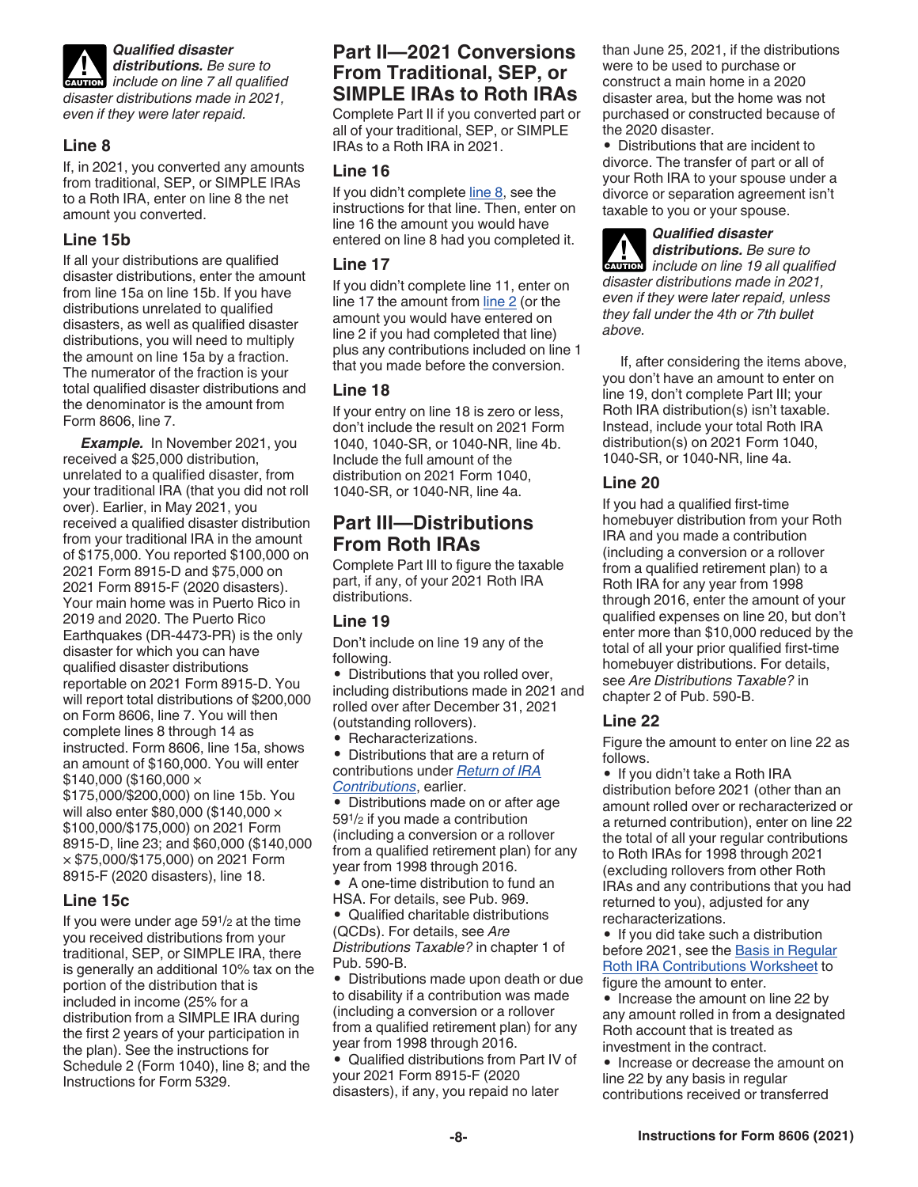

*Qualified disaster* 

*distributions. Be sure to distributions. Be sure to*<br> *include on line 7 all qualified disaster distributions made in 2021, even if they were later repaid.*

#### **Line 8**

If, in 2021, you converted any amounts from traditional, SEP, or SIMPLE IRAs to a Roth IRA, enter on line 8 the net amount you converted.

#### **Line 15b**

If all your distributions are qualified disaster distributions, enter the amount from line 15a on line 15b. If you have distributions unrelated to qualified disasters, as well as qualified disaster distributions, you will need to multiply the amount on line 15a by a fraction. The numerator of the fraction is your total qualified disaster distributions and the denominator is the amount from Form 8606, line 7.

**Example.** In November 2021, you received a \$25,000 distribution, unrelated to a qualified disaster, from your traditional IRA (that you did not roll over). Earlier, in May 2021, you received a qualified disaster distribution from your traditional IRA in the amount of \$175,000. You reported \$100,000 on 2021 Form 8915-D and \$75,000 on 2021 Form 8915-F (2020 disasters). Your main home was in Puerto Rico in 2019 and 2020. The Puerto Rico Earthquakes (DR-4473-PR) is the only disaster for which you can have qualified disaster distributions reportable on 2021 Form 8915-D. You will report total distributions of \$200,000 on Form 8606, line 7. You will then complete lines 8 through 14 as instructed. Form 8606, line 15a, shows an amount of \$160,000. You will enter  $$140.000$  (\$160.000  $\times$ \$175,000/\$200,000) on line 15b. You will also enter \$80,000 (\$140,000 × \$100,000/\$175,000) on 2021 Form 8915-D, line 23; and \$60,000 (\$140,000 × \$75,000/\$175,000) on 2021 Form 8915-F (2020 disasters), line 18.

#### **Line 15c**

If you were under age 591/2 at the time you received distributions from your traditional, SEP, or SIMPLE IRA, there is generally an additional 10% tax on the portion of the distribution that is included in income (25% for a distribution from a SIMPLE IRA during the first 2 years of your participation in the plan). See the instructions for Schedule 2 (Form 1040), line 8; and the Instructions for Form 5329.

## **Part II—2021 Conversions From Traditional, SEP, or SIMPLE IRAs to Roth IRAs**

Complete Part II if you converted part or all of your traditional, SEP, or SIMPLE IRAs to a Roth IRA in 2021.

#### **Line 16**

If you didn't complete line 8, see the instructions for that line. Then, enter on line 16 the amount you would have entered on line 8 had you completed it.

#### **Line 17**

If you didn't complete line 11, enter on line 17 the amount from line 2 (or the amount you would have entered on line 2 if you had completed that line) plus any contributions included on line 1 that you made before the conversion.

#### **Line 18**

If your entry on line 18 is zero or less, don't include the result on 2021 Form 1040, 1040-SR, or 1040-NR, line 4b. Include the full amount of the distribution on 2021 Form 1040, 1040-SR, or 1040-NR, line 4a.

## **Part III—Distributions From Roth IRAs**

Complete Part III to figure the taxable part, if any, of your 2021 Roth IRA distributions.

### **Line 19**

Don't include on line 19 any of the following.

• Distributions that you rolled over, including distributions made in 2021 and rolled over after December 31, 2021 (outstanding rollovers).

- Recharacterizations.
- Distributions that are a return of contributions under *Return of IRA Contributions*, earlier.

• Distributions made on or after age 591/2 if you made a contribution (including a conversion or a rollover from a qualified retirement plan) for any year from 1998 through 2016.

• A one-time distribution to fund an HSA. For details, see Pub. 969.

• Qualified charitable distributions (QCDs). For details, see *Are Distributions Taxable?* in chapter 1 of Pub. 590-B.

• Distributions made upon death or due to disability if a contribution was made (including a conversion or a rollover from a qualified retirement plan) for any year from 1998 through 2016.

• Qualified distributions from Part IV of your 2021 Form 8915-F (2020 disasters), if any, you repaid no later

than June 25, 2021, if the distributions were to be used to purchase or construct a main home in a 2020 disaster area, but the home was not purchased or constructed because of the 2020 disaster.

• Distributions that are incident to divorce. The transfer of part or all of your Roth IRA to your spouse under a divorce or separation agreement isn't taxable to you or your spouse.

*Qualified disaster distributions. Be sure to*  **distributions.** Be sure to include on line 19 all qualified *disaster distributions made in 2021, even if they were later repaid, unless they fall under the 4th or 7th bullet above.*

If, after considering the items above, you don't have an amount to enter on line 19, don't complete Part III; your Roth IRA distribution(s) isn't taxable. Instead, include your total Roth IRA distribution(s) on 2021 Form 1040, 1040-SR, or 1040-NR, line 4a.

#### **Line 20**

If you had a qualified first-time homebuyer distribution from your Roth IRA and you made a contribution (including a conversion or a rollover from a qualified retirement plan) to a Roth IRA for any year from 1998 through 2016, enter the amount of your qualified expenses on line 20, but don't enter more than \$10,000 reduced by the total of all your prior qualified first-time homebuyer distributions. For details, see *Are Distributions Taxable?* in chapter 2 of Pub. 590-B.

#### **Line 22**

Figure the amount to enter on line 22 as follows.

• If you didn't take a Roth IRA distribution before 2021 (other than an amount rolled over or recharacterized or a returned contribution), enter on line 22 the total of all your regular contributions to Roth IRAs for 1998 through 2021 (excluding rollovers from other Roth IRAs and any contributions that you had returned to you), adjusted for any recharacterizations.

• If you did take such a distribution before 2021, see the Basis in Regular Roth IRA Contributions Worksheet to figure the amount to enter.

• Increase the amount on line 22 by any amount rolled in from a designated Roth account that is treated as investment in the contract.

• Increase or decrease the amount on line 22 by any basis in regular contributions received or transferred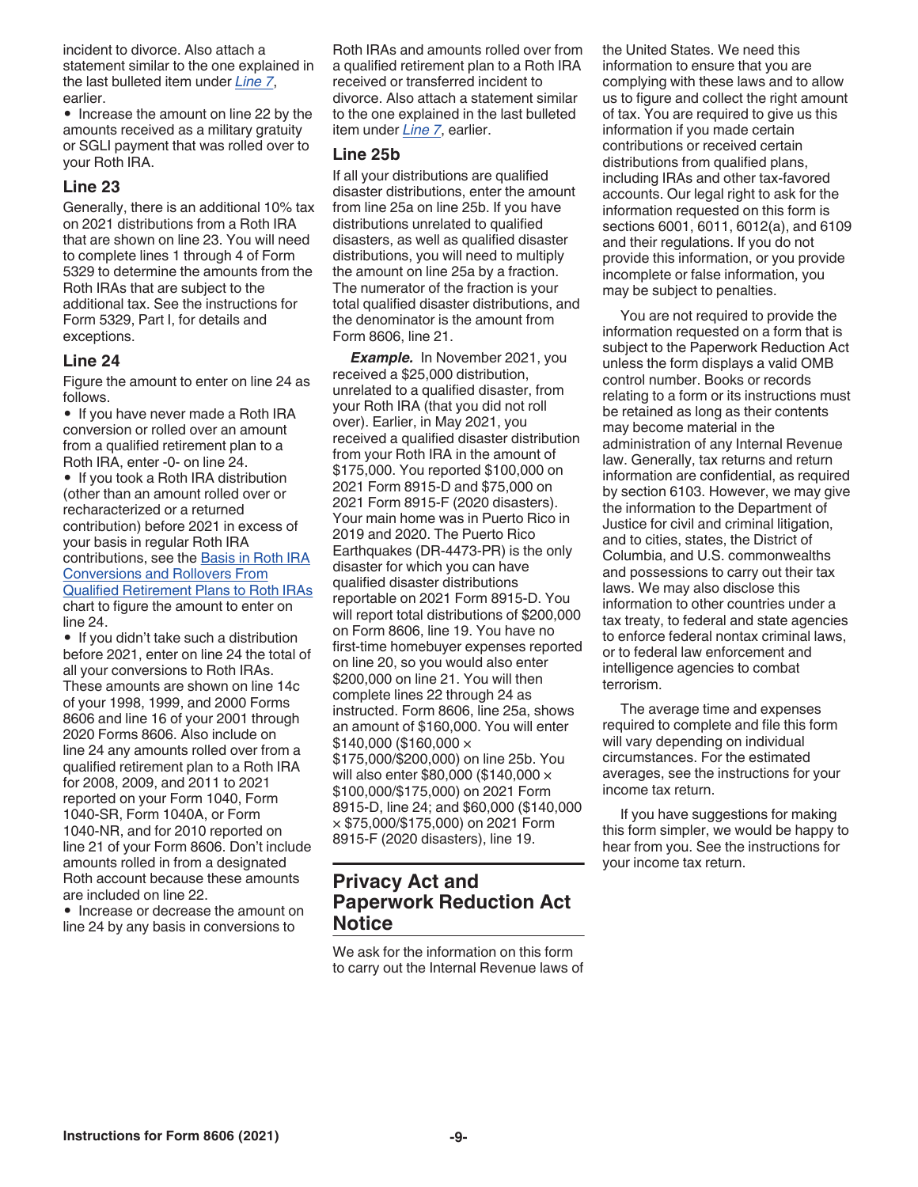incident to divorce. Also attach a statement similar to the one explained in the last bulleted item under *Line 7*, earlier.

• Increase the amount on line 22 by the amounts received as a military gratuity or SGLI payment that was rolled over to your Roth IRA.

#### **Line 23**

Generally, there is an additional 10% tax on 2021 distributions from a Roth IRA that are shown on line 23. You will need to complete lines 1 through 4 of Form 5329 to determine the amounts from the Roth IRAs that are subject to the additional tax. See the instructions for Form 5329, Part I, for details and exceptions.

#### **Line 24**

Figure the amount to enter on line 24 as follows.

• If you have never made a Roth IRA conversion or rolled over an amount from a qualified retirement plan to a Roth IRA, enter -0- on line 24.

• If you took a Roth IRA distribution (other than an amount rolled over or recharacterized or a returned contribution) before 2021 in excess of your basis in regular Roth IRA contributions, see the Basis in Roth IRA Conversions and Rollovers From Qualified Retirement Plans to Roth IRAs chart to figure the amount to enter on line 24.

• If you didn't take such a distribution before 2021, enter on line 24 the total of all your conversions to Roth IRAs. These amounts are shown on line 14c of your 1998, 1999, and 2000 Forms 8606 and line 16 of your 2001 through 2020 Forms 8606. Also include on line 24 any amounts rolled over from a qualified retirement plan to a Roth IRA for 2008, 2009, and 2011 to 2021 reported on your Form 1040, Form 1040-SR, Form 1040A, or Form 1040-NR, and for 2010 reported on line 21 of your Form 8606. Don't include amounts rolled in from a designated Roth account because these amounts are included on line 22.

• Increase or decrease the amount on line 24 by any basis in conversions to

Roth IRAs and amounts rolled over from a qualified retirement plan to a Roth IRA received or transferred incident to divorce. Also attach a statement similar to the one explained in the last bulleted item under *Line 7*, earlier.

#### **Line 25b**

If all your distributions are qualified disaster distributions, enter the amount from line 25a on line 25b. If you have distributions unrelated to qualified disasters, as well as qualified disaster distributions, you will need to multiply the amount on line 25a by a fraction. The numerator of the fraction is your total qualified disaster distributions, and the denominator is the amount from Form 8606, line 21.

**Example.** In November 2021, you received a \$25,000 distribution, unrelated to a qualified disaster, from your Roth IRA (that you did not roll over). Earlier, in May 2021, you received a qualified disaster distribution from your Roth IRA in the amount of \$175,000. You reported \$100,000 on 2021 Form 8915-D and \$75,000 on 2021 Form 8915-F (2020 disasters). Your main home was in Puerto Rico in 2019 and 2020. The Puerto Rico Earthquakes (DR-4473-PR) is the only disaster for which you can have qualified disaster distributions reportable on 2021 Form 8915-D. You will report total distributions of \$200,000 on Form 8606, line 19. You have no first-time homebuyer expenses reported on line 20, so you would also enter \$200,000 on line 21. You will then complete lines 22 through 24 as instructed. Form 8606, line 25a, shows an amount of \$160,000. You will enter  $$140,000$  (\$160,000  $\times$ \$175,000/\$200,000) on line 25b. You will also enter \$80,000 (\$140,000 × \$100,000/\$175,000) on 2021 Form 8915-D, line 24; and \$60,000 (\$140,000 × \$75,000/\$175,000) on 2021 Form 8915-F (2020 disasters), line 19.

## **Privacy Act and Paperwork Reduction Act Notice**

We ask for the information on this form to carry out the Internal Revenue laws of the United States. We need this information to ensure that you are complying with these laws and to allow us to figure and collect the right amount of tax. You are required to give us this information if you made certain contributions or received certain distributions from qualified plans, including IRAs and other tax-favored accounts. Our legal right to ask for the information requested on this form is sections 6001, 6011, 6012(a), and 6109 and their regulations. If you do not provide this information, or you provide incomplete or false information, you may be subject to penalties.

You are not required to provide the information requested on a form that is subject to the Paperwork Reduction Act unless the form displays a valid OMB control number. Books or records relating to a form or its instructions must be retained as long as their contents may become material in the administration of any Internal Revenue law. Generally, tax returns and return information are confidential, as required by section 6103. However, we may give the information to the Department of Justice for civil and criminal litigation, and to cities, states, the District of Columbia, and U.S. commonwealths and possessions to carry out their tax laws. We may also disclose this information to other countries under a tax treaty, to federal and state agencies to enforce federal nontax criminal laws, or to federal law enforcement and intelligence agencies to combat terrorism.

The average time and expenses required to complete and file this form will vary depending on individual circumstances. For the estimated averages, see the instructions for your income tax return.

If you have suggestions for making this form simpler, we would be happy to hear from you. See the instructions for your income tax return.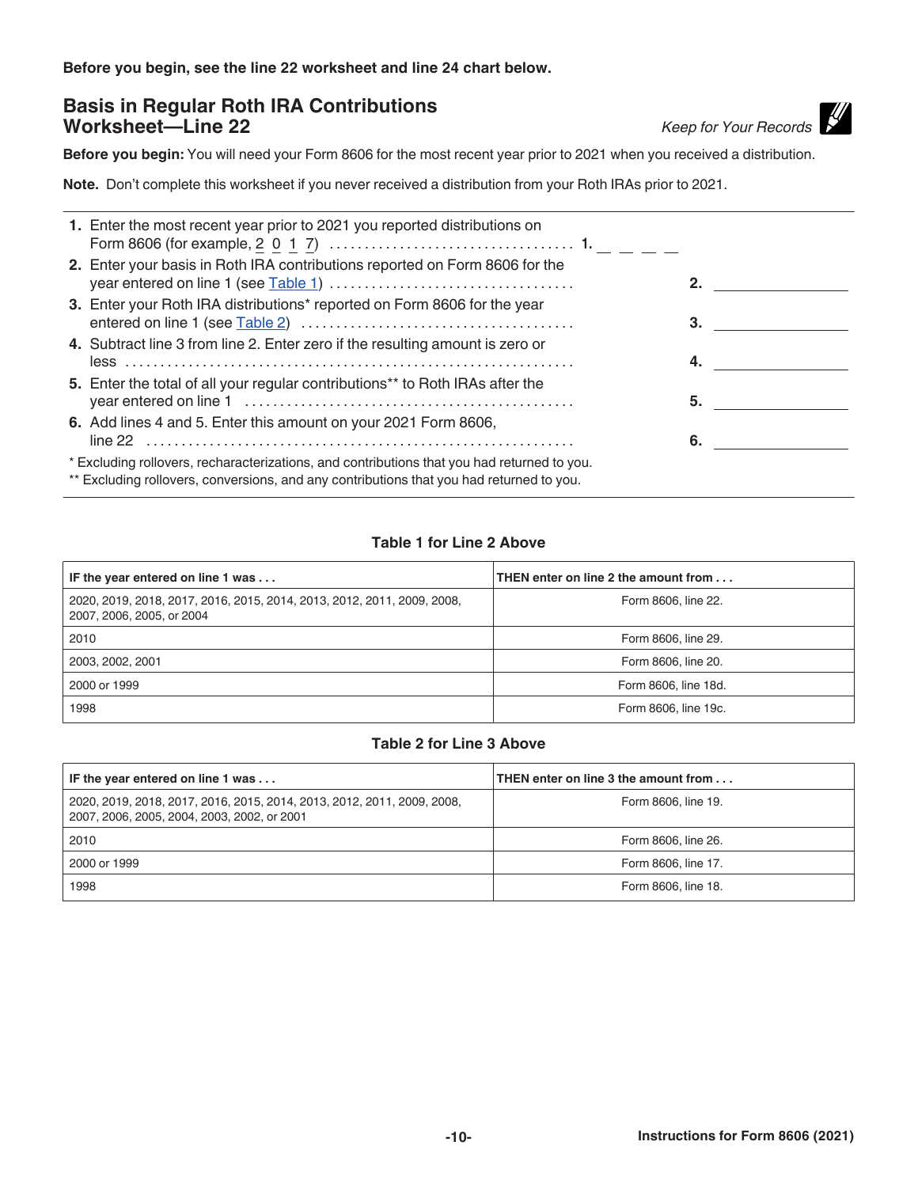**Before you begin, see the line 22 worksheet and line 24 chart below.**

## **Basis in Regular Roth IRA Contributions Worksheet—Line 22** *Keep for Your Records*

**Before you begin:** You will need your Form 8606 for the most recent year prior to 2021 when you received a distribution.

**Note.** Don't complete this worksheet if you never received a distribution from your Roth IRAs prior to 2021.

| 1. Enter the most recent year prior to 2021 you reported distributions on                                                                                                               |    |  |
|-----------------------------------------------------------------------------------------------------------------------------------------------------------------------------------------|----|--|
| 2. Enter your basis in Roth IRA contributions reported on Form 8606 for the                                                                                                             |    |  |
| 3. Enter your Roth IRA distributions* reported on Form 8606 for the year                                                                                                                | 3. |  |
| 4. Subtract line 3 from line 2. Enter zero if the resulting amount is zero or                                                                                                           |    |  |
| 5. Enter the total of all your regular contributions** to Roth IRAs after the                                                                                                           | 5. |  |
| 6. Add lines 4 and 5. Enter this amount on your 2021 Form 8606,                                                                                                                         | 6. |  |
| * Excluding rollovers, recharacterizations, and contributions that you had returned to you.<br>** Excluding rollovers, conversions, and any contributions that you had returned to you. |    |  |

#### **Table 1 for Line 2 Above**

| IF the year entered on line 1 was                                                                    | THEN enter on line 2 the amount from |
|------------------------------------------------------------------------------------------------------|--------------------------------------|
| 2020, 2019, 2018, 2017, 2016, 2015, 2014, 2013, 2012, 2011, 2009, 2008,<br>2007, 2006, 2005, or 2004 | Form 8606, line 22.                  |
| 2010                                                                                                 | Form 8606, line 29.                  |
| 2003, 2002, 2001                                                                                     | Form 8606, line 20.                  |
| 2000 or 1999                                                                                         | Form 8606, line 18d.                 |
| 1998                                                                                                 | Form 8606, line 19c.                 |

#### **Table 2 for Line 3 Above**

| IF the year entered on line 1 was                                                                                      | THEN enter on line 3 the amount from |
|------------------------------------------------------------------------------------------------------------------------|--------------------------------------|
| 2020, 2019, 2018, 2017, 2016, 2015, 2014, 2013, 2012, 2011, 2009, 2008,<br>2007, 2006, 2005, 2004, 2003, 2002, or 2001 | Form 8606, line 19.                  |
| 2010                                                                                                                   | Form 8606, line 26.                  |
| 2000 or 1999                                                                                                           | Form 8606, line 17.                  |
| 1998                                                                                                                   | Form 8606, line 18.                  |

**-10- Instructions for Form 8606 (2021)**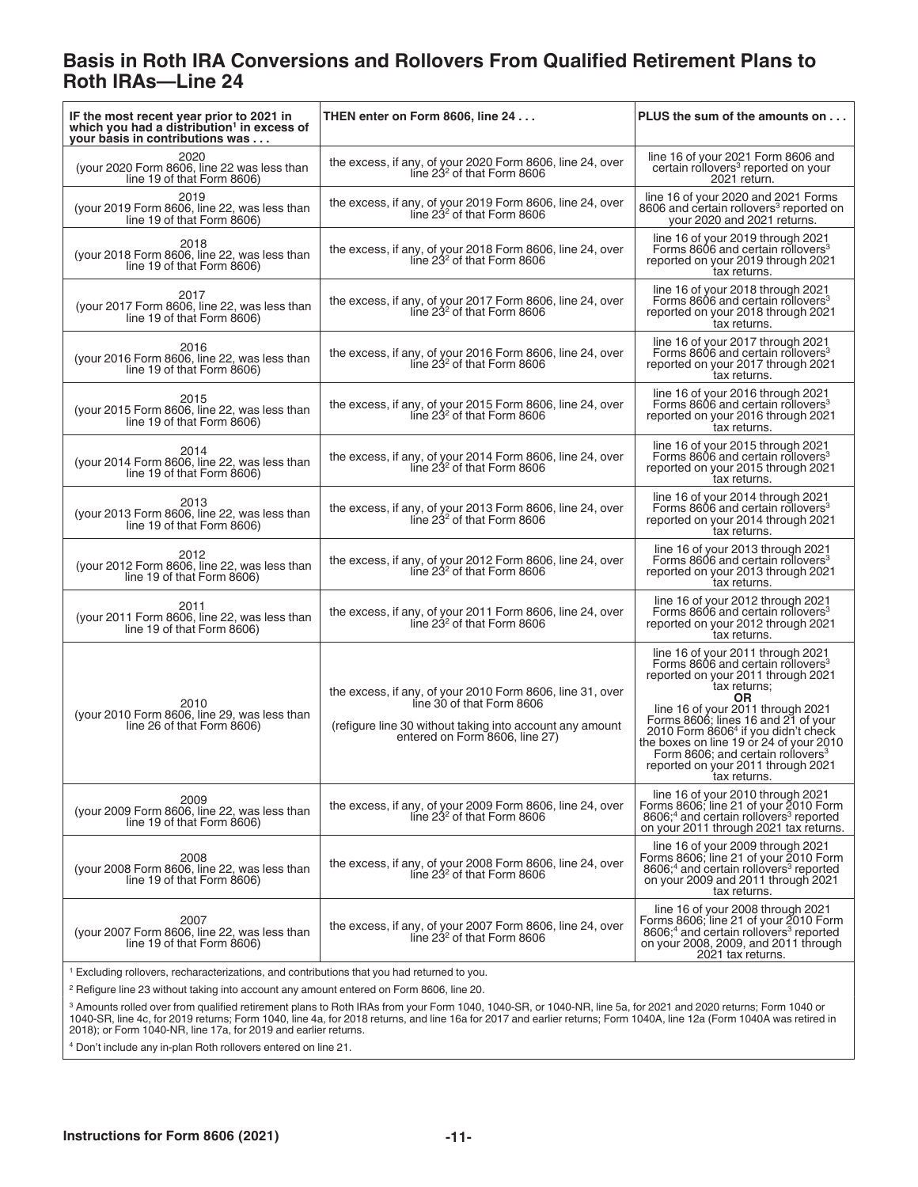## **Basis in Roth IRA Conversions and Rollovers From Qualified Retirement Plans to Roth IRAs—Line 24**

| IF the most recent year prior to 2021 in<br>which you had a distribution <sup>1</sup> in excess of<br>your basis in contributions was | THEN enter on Form 8606, line 24                                                                                                                                                     | PLUS the sum of the amounts on                                                                                                                                                                                                                                                                                                                                                                                             |  |  |  |
|---------------------------------------------------------------------------------------------------------------------------------------|--------------------------------------------------------------------------------------------------------------------------------------------------------------------------------------|----------------------------------------------------------------------------------------------------------------------------------------------------------------------------------------------------------------------------------------------------------------------------------------------------------------------------------------------------------------------------------------------------------------------------|--|--|--|
| 2020<br>(your 2020 Form 8606, line 22 was less than<br>line 19 of that Form 8606)                                                     | the excess, if any, of your 2020 Form 8606, line 24, over<br>line $232$ of that Form 8606                                                                                            | line 16 of your 2021 Form 8606 and<br>certain rollovers <sup>3</sup> reported on your<br>2021 return.                                                                                                                                                                                                                                                                                                                      |  |  |  |
| 2019<br>(your 2019 Form 8606, line 22, was less than<br>line 19 of that Form 8606)                                                    | the excess, if any, of your 2019 Form 8606, line 24, over<br>line 23 <sup>2</sup> of that Form 8606                                                                                  | line 16 of your 2020 and 2021 Forms<br>8606 and certain rollovers <sup>3</sup> reported on<br>your 2020 and 2021 returns.                                                                                                                                                                                                                                                                                                  |  |  |  |
| 2018<br>(your 2018 Form 8606, line 22, was less than<br>line 19 of that Form 8606)                                                    | the excess, if any, of your 2018 Form 8606, line 24, over<br>line $232$ of that Form 8606                                                                                            | line 16 of your 2019 through 2021<br>Forms 8606 and certain rollovers <sup>3</sup><br>reported on your 2019 through 2021<br>tax returns.                                                                                                                                                                                                                                                                                   |  |  |  |
| 2017<br>(your 2017 Form 8606, line 22, was less than<br>line 19 of that Form 8606)                                                    | the excess, if any, of your 2017 Form 8606, line 24, over<br>line $232$ of that Form 8606                                                                                            | line 16 of your 2018 through 2021<br>Forms 8606 and certain rollovers <sup>3</sup><br>reported on your 2018 through 2021<br>tax returns.                                                                                                                                                                                                                                                                                   |  |  |  |
| 2016<br>(your 2016 Form 8606, line 22, was less than<br>line 19 of that Form 8606)                                                    | the excess, if any, of your 2016 Form 8606, line 24, over<br>line $232$ of that Form 8606                                                                                            | line 16 of your 2017 through 2021<br>Forms 8606 and certain rollovers <sup>3</sup><br>reported on your 2017 through 2021<br>tax returns.                                                                                                                                                                                                                                                                                   |  |  |  |
| 2015<br>(your 2015 Form 8606, line 22, was less than<br>line 19 of that Form 8606)                                                    | the excess, if any, of your 2015 Form 8606, line 24, over<br>line $232$ of that Form 8606                                                                                            | line 16 of your 2016 through 2021<br>Forms 8606 and certain rollovers <sup>3</sup><br>reported on your 2016 through 2021<br>tax returns.                                                                                                                                                                                                                                                                                   |  |  |  |
| 2014<br>(your 2014 Form 8606, line 22, was less than<br>line 19 of that Form 8606)                                                    | the excess, if any, of your 2014 Form 8606, line 24, over<br>line $232$ of that Form 8606                                                                                            | line 16 of your 2015 through 2021<br>Forms 8606 and certain rollovers <sup>3</sup><br>reported on your 2015 through 2021<br>tax returns.                                                                                                                                                                                                                                                                                   |  |  |  |
| 2013<br>(your 2013 Form 8606, line 22, was less than<br>line 19 of that Form 8606)                                                    | the excess, if any, of your 2013 Form 8606, line 24, over<br>line 23 <sup>2</sup> of that Form 8606                                                                                  | line 16 of your 2014 through 2021<br>Forms 8606 and certain rollovers <sup>3</sup><br>reported on your 2014 through 2021<br>tax returns.                                                                                                                                                                                                                                                                                   |  |  |  |
| 2012<br>(your 2012 Form 8606, line 22, was less than<br>line 19 of that Form 8606)                                                    | the excess, if any, of your 2012 Form 8606, line 24, over<br>line 23 <sup>2</sup> of that Form 8606                                                                                  | line 16 of your 2013 through 2021<br>Forms 8606 and certain rollovers <sup>3</sup><br>reported on your 2013 through 2021<br>tax returns.                                                                                                                                                                                                                                                                                   |  |  |  |
| 2011<br>(your 2011 Form 8606, line 22, was less than<br>line 19 of that Form 8606)                                                    | the excess, if any, of your 2011 Form 8606, line 24, over<br>line $232$ of that Form 8606                                                                                            | line 16 of your 2012 through 2021<br>Forms 8606 and certain rollovers <sup>3</sup><br>reported on your 2012 through 2021<br>tax returns.                                                                                                                                                                                                                                                                                   |  |  |  |
| 2010<br>(your 2010 Form 8606, line 29, was less than<br>line 26 of that Form 8606)                                                    | the excess, if any, of your 2010 Form 8606, line 31, over<br>line 30 of that Form 8606<br>(refigure line 30 without taking into account any amount<br>entered on Form 8606, line 27) | line 16 of your 2011 through 2021<br>Forms 8606 and certain rollovers <sup>3</sup><br>reported on your 2011 through 2021<br>tax returns;<br><b>OR</b><br>line 16 of your 2011 through 2021<br>Forms 8606; lines 16 and 21 of your<br>2010 Form 86064 if you didn't check<br>the boxes on line 19 or 24 of your 2010<br>Form 8606; and certain rollovers <sup>3</sup><br>reported on your 2011 through 2021<br>tax returns. |  |  |  |
| 2009<br>(your 2009 Form 8606, line 22, was less than<br>line 19 of that Form 8606)                                                    | the excess, if any, of your 2009 Form 8606, line 24, over<br>line $232$ of that Form 8606                                                                                            | line 16 of your 2010 through 2021<br>Forms 8606; line 21 of your 2010 Form<br>8606; <sup>4</sup> and certain rollovers <sup>3</sup> reported<br>on your 2011 through 2021 tax returns.                                                                                                                                                                                                                                     |  |  |  |
| 2008<br>(your 2008 Form 8606, line 22, was less than<br>line 19 of that Form 8606)                                                    | the excess, if any, of your 2008 Form 8606, line 24, over<br>line $232$ of that Form 8606                                                                                            | line 16 of your 2009 through 2021<br>Forms 8606; line 21 of your 2010 Form<br>8606; <sup>4</sup> and certain rollovers <sup>3</sup> reported<br>on your 2009 and 2011 through 2021<br>tax returns.                                                                                                                                                                                                                         |  |  |  |
| 2007<br>(your 2007 Form 8606, line 22, was less than<br>line 19 of that Form 8606)                                                    | the excess, if any, of your 2007 Form 8606, line 24, over<br>line $232$ of that Form 8606                                                                                            | line 16 of your 2008 through 2021<br>Forms 8606; line 21 of your 2010 Form<br>8606; <sup>4</sup> and certain rollovers <sup>3</sup> reported<br>on your 2008, 2009, and 2011 through<br>2021 tax returns.                                                                                                                                                                                                                  |  |  |  |
| <sup>1</sup> Excluding rollovers, recharacterizations, and contributions that you had returned to you.                                |                                                                                                                                                                                      |                                                                                                                                                                                                                                                                                                                                                                                                                            |  |  |  |

<sup>2</sup> Refigure line 23 without taking into account any amount entered on Form 8606, line 20.

<sup>3</sup> Amounts rolled over from qualified retirement plans to Roth IRAs from your Form 1040, 1040-SR, or 1040-NR, line 5a, for 2021 and 2020 returns; Form 1040 or<br>1040-SR, line 4c, for 2019 returns; Form 1040, line 4a, for 20

4 Don't include any in-plan Roth rollovers entered on line 21.